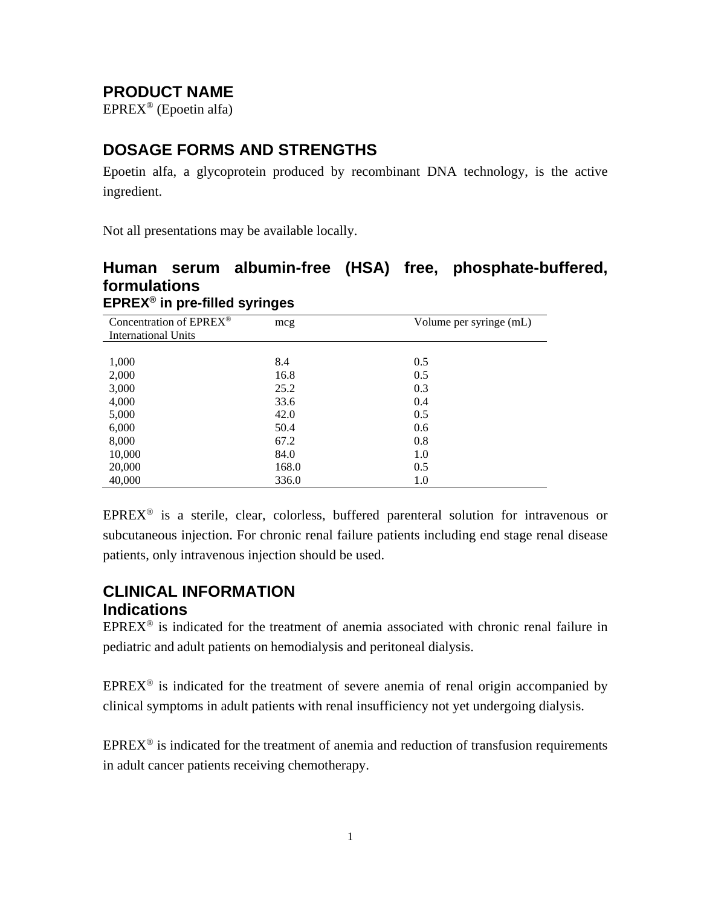# **PRODUCT NAME**

EPREX® (Epoetin alfa)

# **DOSAGE FORMS AND STRENGTHS**

Epoetin alfa, a glycoprotein produced by recombinant DNA technology, is the active ingredient.

Not all presentations may be available locally.

### **Human serum albumin-free (HSA) free, phosphate-buffered, formulations EPREX® in pre-filled syringes**

| Concentration of EPREX®    | mcg   | Volume per syringe (mL) |
|----------------------------|-------|-------------------------|
| <b>International Units</b> |       |                         |
|                            |       |                         |
| 1,000                      | 8.4   | 0.5                     |
| 2,000                      | 16.8  | 0.5                     |
| 3,000                      | 25.2  | 0.3                     |
| 4,000                      | 33.6  | 0.4                     |
| 5,000                      | 42.0  | 0.5                     |
| 6,000                      | 50.4  | 0.6                     |
| 8,000                      | 67.2  | 0.8                     |
| 10,000                     | 84.0  | 1.0                     |
| 20,000                     | 168.0 | 0.5                     |
| 40,000                     | 336.0 | 1.0                     |

 $EPREX^{\otimes}$  is a sterile, clear, colorless, buffered parenteral solution for intravenous or subcutaneous injection. For chronic renal failure patients including end stage renal disease patients, only intravenous injection should be used.

### **CLINICAL INFORMATION Indications**

 $EPREX^{\circledast}$  is indicated for the treatment of anemia associated with chronic renal failure in pediatric and adult patients on hemodialysis and peritoneal dialysis.

 $EPREX^{\circledast}$  is indicated for the treatment of severe anemia of renal origin accompanied by clinical symptoms in adult patients with renal insufficiency not yet undergoing dialysis.

 $EPREX^{\circledast}$  is indicated for the treatment of anemia and reduction of transfusion requirements in adult cancer patients receiving chemotherapy.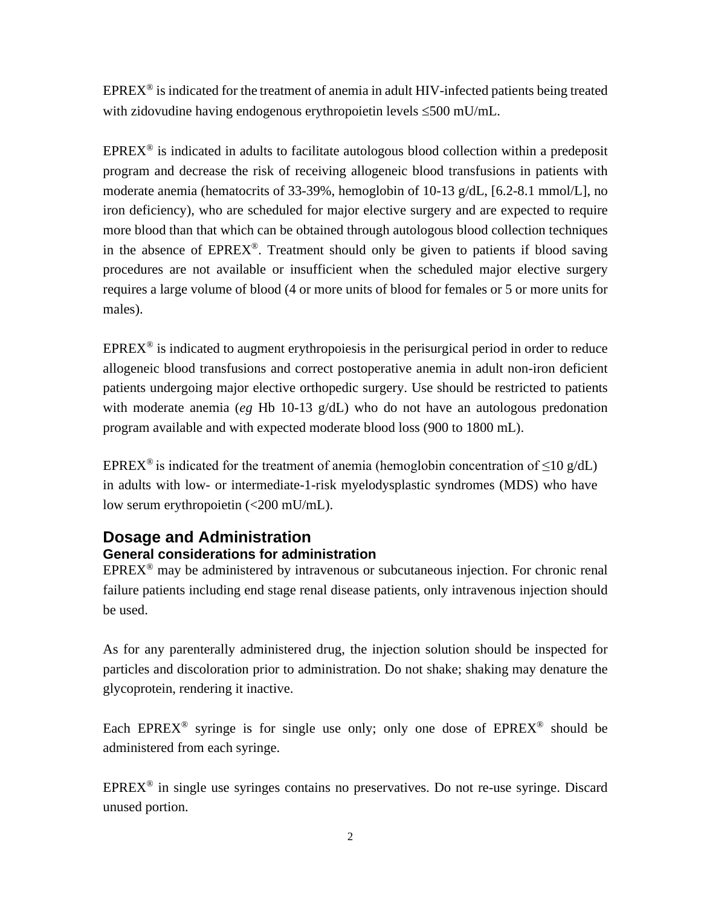$EPREX^{\circledast}$  is indicated for the treatment of anemia in adult HIV-infected patients being treated with zidovudine having endogenous erythropoietin levels ≤500 mU/mL.

 $EPREX^{\circledast}$  is indicated in adults to facilitate autologous blood collection within a predeposit program and decrease the risk of receiving allogeneic blood transfusions in patients with moderate anemia (hematocrits of 33-39%, hemoglobin of 10-13 g/dL, [6.2-8.1 mmol/L], no iron deficiency), who are scheduled for major elective surgery and are expected to require more blood than that which can be obtained through autologous blood collection techniques in the absence of  $EPREX^{\circledcirc}$ . Treatment should only be given to patients if blood saving procedures are not available or insufficient when the scheduled major elective surgery requires a large volume of blood (4 or more units of blood for females or 5 or more units for males).

 $EPREX^{\circledast}$  is indicated to augment erythropoiesis in the perisurgical period in order to reduce allogeneic blood transfusions and correct postoperative anemia in adult non-iron deficient patients undergoing major elective orthopedic surgery. Use should be restricted to patients with moderate anemia (*eg* Hb 10-13 g/dL) who do not have an autologous predonation program available and with expected moderate blood loss (900 to 1800 mL).

EPREX<sup>®</sup> is indicated for the treatment of anemia (hemoglobin concentration of  $\leq$ 10 g/dL) in adults with low- or intermediate-1-risk myelodysplastic syndromes (MDS) who have low serum erythropoietin (<200 mU/mL).

### **Dosage and Administration General considerations for administration**

 $EPREX^{\circledast}$  may be administered by intravenous or subcutaneous injection. For chronic renal failure patients including end stage renal disease patients, only intravenous injection should be used.

As for any parenterally administered drug, the injection solution should be inspected for particles and discoloration prior to administration. Do not shake; shaking may denature the glycoprotein, rendering it inactive.

Each EPREX<sup>®</sup> syringe is for single use only; only one dose of  $EPREX$ <sup>®</sup> should be administered from each syringe.

 $EPREX^{\circledast}$  in single use syringes contains no preservatives. Do not re-use syringe. Discard unused portion.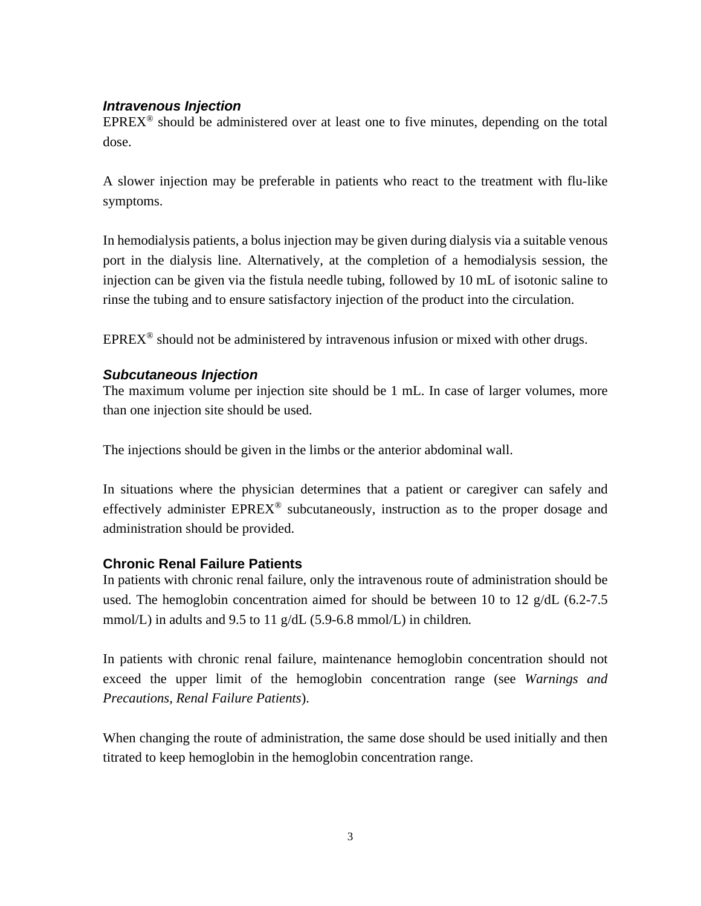### *Intravenous Injection*

EPREX® should be administered over at least one to five minutes, depending on the total dose.

A slower injection may be preferable in patients who react to the treatment with flu-like symptoms.

In hemodialysis patients, a bolus injection may be given during dialysis via a suitable venous port in the dialysis line. Alternatively, at the completion of a hemodialysis session, the injection can be given via the fistula needle tubing, followed by 10 mL of isotonic saline to rinse the tubing and to ensure satisfactory injection of the product into the circulation.

 $EPREX^{\circledast}$  should not be administered by intravenous infusion or mixed with other drugs.

### *Subcutaneous Injection*

The maximum volume per injection site should be 1 mL. In case of larger volumes, more than one injection site should be used.

The injections should be given in the limbs or the anterior abdominal wall.

In situations where the physician determines that a patient or caregiver can safely and effectively administer EPREX® subcutaneously, instruction as to the proper dosage and administration should be provided.

### **Chronic Renal Failure Patients**

In patients with chronic renal failure, only the intravenous route of administration should be used. The hemoglobin concentration aimed for should be between 10 to 12 g/dL (6.2-7.5 mmol/L) in adults and 9.5 to 11 g/dL (5.9-6.8 mmol/L) in children*.*

In patients with chronic renal failure, maintenance hemoglobin concentration should not exceed the upper limit of the hemoglobin concentration range (see *Warnings and Precautions, Renal Failure Patients*).

When changing the route of administration, the same dose should be used initially and then titrated to keep hemoglobin in the hemoglobin concentration range.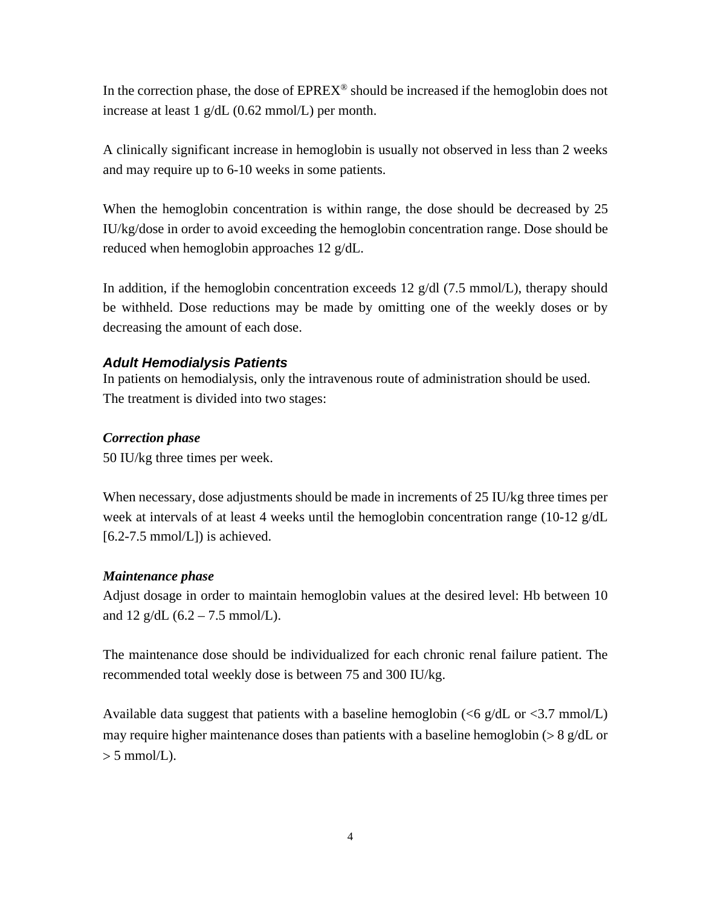In the correction phase, the dose of  $EPREX^{\circledcirc}$  should be increased if the hemoglobin does not increase at least 1 g/dL (0.62 mmol/L) per month.

A clinically significant increase in hemoglobin is usually not observed in less than 2 weeks and may require up to 6-10 weeks in some patients.

When the hemoglobin concentration is within range, the dose should be decreased by 25 IU/kg/dose in order to avoid exceeding the hemoglobin concentration range. Dose should be reduced when hemoglobin approaches 12 g/dL.

In addition, if the hemoglobin concentration exceeds 12  $g/dl$  (7.5 mmol/L), therapy should be withheld. Dose reductions may be made by omitting one of the weekly doses or by decreasing the amount of each dose.

### *Adult Hemodialysis Patients*

In patients on hemodialysis, only the intravenous route of administration should be used. The treatment is divided into two stages:

### *Correction phase*

50 IU/kg three times per week.

When necessary, dose adjustments should be made in increments of 25 IU/kg three times per week at intervals of at least 4 weeks until the hemoglobin concentration range (10-12 g/dL  $[6.2-7.5 \text{ mmol/L}]$ ) is achieved.

### *Maintenance phase*

Adjust dosage in order to maintain hemoglobin values at the desired level: Hb between 10 and 12 g/dL  $(6.2 - 7.5 \text{ mmol/L})$ .

The maintenance dose should be individualized for each chronic renal failure patient. The recommended total weekly dose is between 75 and 300 IU/kg.

Available data suggest that patients with a baseline hemoglobin ( $\leq 6$  g/dL or  $\leq 3.7$  mmol/L) may require higher maintenance doses than patients with a baseline hemoglobin  $(> 8 \text{ g}/dL)$  or  $> 5$  mmol/L).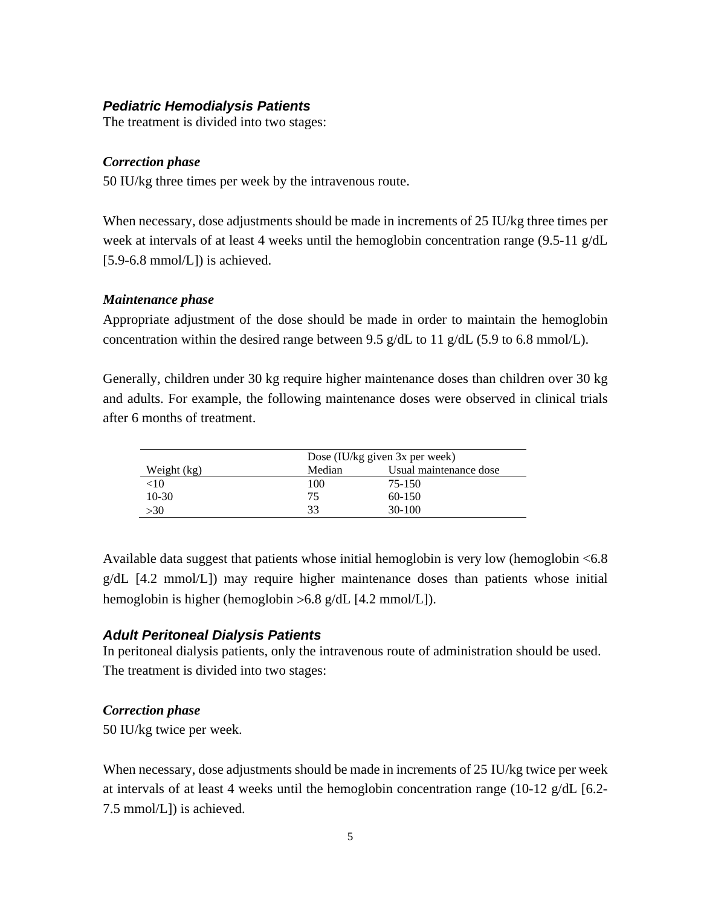### *Pediatric Hemodialysis Patients*

The treatment is divided into two stages:

#### *Correction phase*

50 IU/kg three times per week by the intravenous route.

When necessary, dose adjustments should be made in increments of 25 IU/kg three times per week at intervals of at least 4 weeks until the hemoglobin concentration range (9.5-11 g/dL  $[5.9-6.8 \text{ mmol/L}]$ ) is achieved.

#### *Maintenance phase*

Appropriate adjustment of the dose should be made in order to maintain the hemoglobin concentration within the desired range between 9.5 g/dL to 11 g/dL (5.9 to 6.8 mmol/L).

Generally, children under 30 kg require higher maintenance doses than children over 30 kg and adults. For example, the following maintenance doses were observed in clinical trials after 6 months of treatment.

|             |        | Dose (IU/kg given 3x per week) |  |  |  |  |
|-------------|--------|--------------------------------|--|--|--|--|
| Weight (kg) | Median | Usual maintenance dose         |  |  |  |  |
| $<$ 10      | 100    | 75-150                         |  |  |  |  |
| $10-30$     | 75     | $60-150$                       |  |  |  |  |
| >30         | 33     | 30-100                         |  |  |  |  |

Available data suggest that patients whose initial hemoglobin is very low (hemoglobin <6.8 g/dL [4.2 mmol/L]) may require higher maintenance doses than patients whose initial hemoglobin is higher (hemoglobin > 6.8 g/dL [4.2 mmol/L]).

### *Adult Peritoneal Dialysis Patients*

In peritoneal dialysis patients, only the intravenous route of administration should be used. The treatment is divided into two stages:

### *Correction phase*

50 IU/kg twice per week.

When necessary, dose adjustments should be made in increments of 25 IU/kg twice per week at intervals of at least 4 weeks until the hemoglobin concentration range (10-12 g/dL [6.2- 7.5 mmol/L]) is achieved.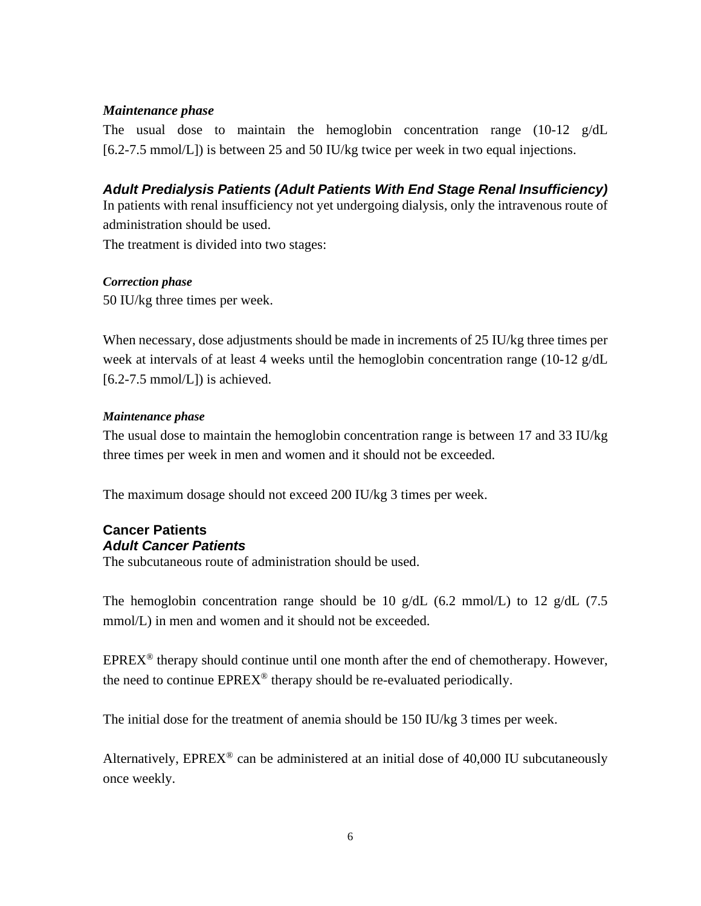### *Maintenance phase*

The usual dose to maintain the hemoglobin concentration range (10-12 g/dL [6.2-7.5 mmol/L]) is between 25 and 50 IU/kg twice per week in two equal injections.

*Adult Predialysis Patients (Adult Patients With End Stage Renal Insufficiency)* In patients with renal insufficiency not yet undergoing dialysis, only the intravenous route of

administration should be used.

The treatment is divided into two stages:

### *Correction phase*

50 IU/kg three times per week.

When necessary, dose adjustments should be made in increments of 25 IU/kg three times per week at intervals of at least 4 weeks until the hemoglobin concentration range (10-12 g/dL  $[6.2-7.5 \text{ mmol/L}]$ ) is achieved.

### *Maintenance phase*

The usual dose to maintain the hemoglobin concentration range is between 17 and 33 IU/kg three times per week in men and women and it should not be exceeded.

The maximum dosage should not exceed 200 IU/kg 3 times per week.

#### **Cancer Patients** *Adult Cancer Patients*

The subcutaneous route of administration should be used.

The hemoglobin concentration range should be 10 g/dL (6.2 mmol/L) to 12 g/dL (7.5 mmol/L) in men and women and it should not be exceeded.

 $EPREX^{\circledast}$  therapy should continue until one month after the end of chemotherapy. However, the need to continue  $EPREX^{\circledcirc}$  therapy should be re-evaluated periodically.

The initial dose for the treatment of anemia should be 150 IU/kg 3 times per week.

Alternatively,  $EPREX^@$  can be administered at an initial dose of 40,000 IU subcutaneously once weekly.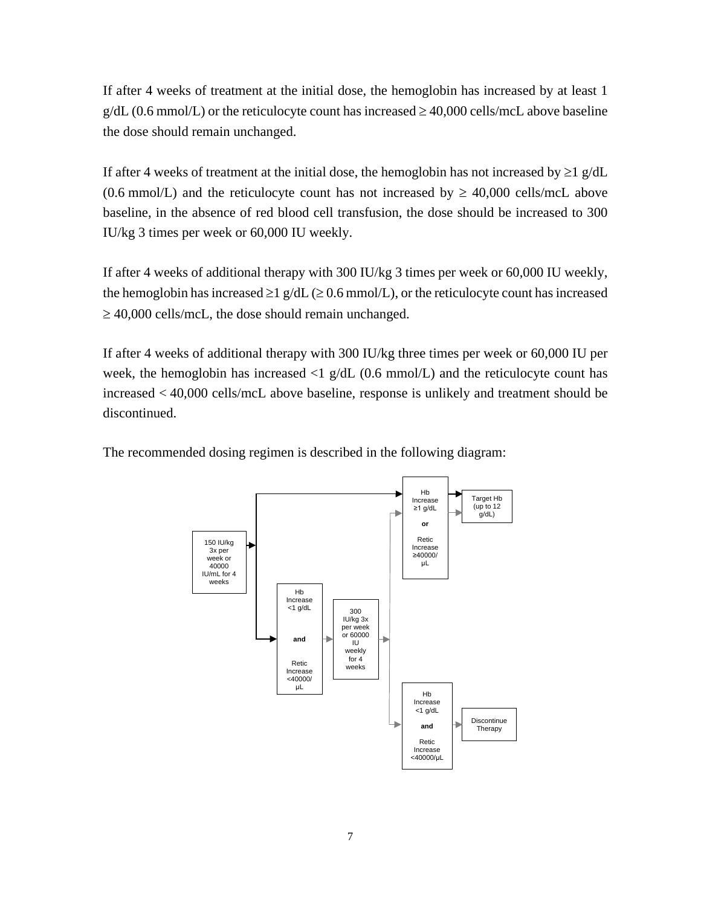If after 4 weeks of treatment at the initial dose, the hemoglobin has increased by at least 1  $g/dL$  (0.6 mmol/L) or the reticulocyte count has increased  $\geq$  40,000 cells/mcL above baseline the dose should remain unchanged.

If after 4 weeks of treatment at the initial dose, the hemoglobin has not increased by  $\geq 1$  g/dL (0.6 mmol/L) and the reticulocyte count has not increased by  $\geq$  40,000 cells/mcL above baseline, in the absence of red blood cell transfusion, the dose should be increased to 300 IU/kg 3 times per week or 60,000 IU weekly.

If after 4 weeks of additional therapy with 300 IU/kg 3 times per week or 60,000 IU weekly, the hemoglobin has increased  $\geq 1$  g/dL ( $\geq 0.6$  mmol/L), or the reticulocyte count has increased  $\geq$  40,000 cells/mcL, the dose should remain unchanged.

If after 4 weeks of additional therapy with 300 IU/kg three times per week or 60,000 IU per week*,* the hemoglobin has increased <1 g/dL (0.6 mmol/L) and the reticulocyte count has increased < 40,000 cells/mcL above baseline, response is unlikely and treatment should be discontinued.

The recommended dosing regimen is described in the following diagram:

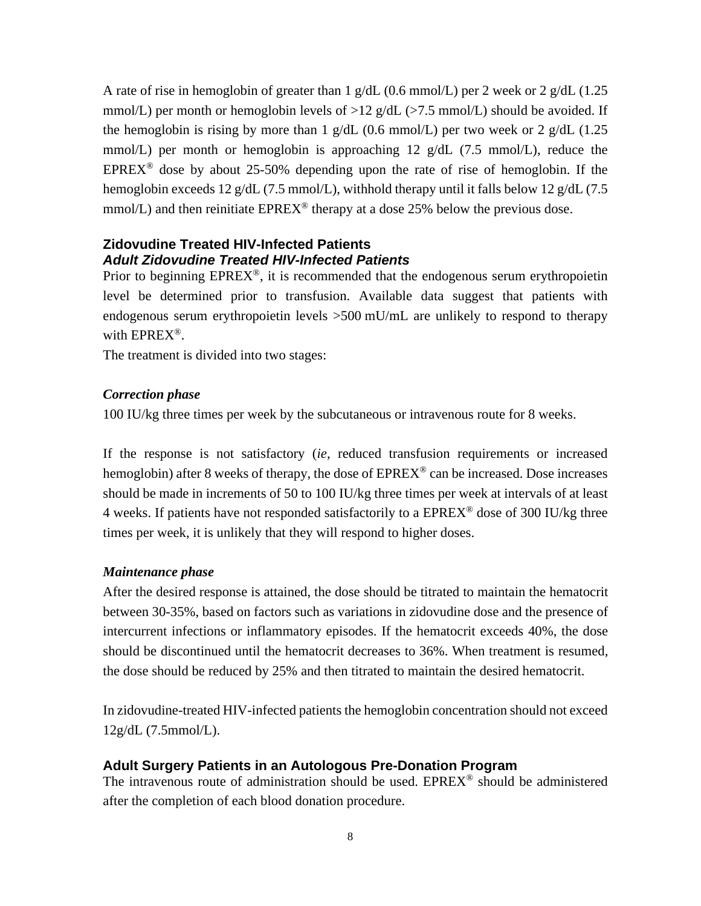A rate of rise in hemoglobin of greater than 1 g/dL (0.6 mmol/L) per 2 week or 2 g/dL (1.25 mmol/L) per month or hemoglobin levels of  $>12$  g/dL ( $>7.5$  mmol/L) should be avoided. If the hemoglobin is rising by more than 1 g/dL (0.6 mmol/L) per two week or 2 g/dL (1.25 mmol/L) per month or hemoglobin is approaching 12  $g/dL$  (7.5 mmol/L), reduce the EPREX<sup>®</sup> dose by about 25-50% depending upon the rate of rise of hemoglobin. If the hemoglobin exceeds 12 g/dL (7.5 mmol/L), withhold therapy until it falls below 12 g/dL (7.5 mmol/L) and then reinitiate  $EPREX^{\circledcirc}$  therapy at a dose 25% below the previous dose.

### **Zidovudine Treated HIV-Infected Patients** *Adult Zidovudine Treated HIV-Infected Patients*

Prior to beginning  $EPREX^{\circledcirc}$ , it is recommended that the endogenous serum erythropoietin level be determined prior to transfusion. Available data suggest that patients with endogenous serum erythropoietin levels  $>500$  mU/mL are unlikely to respond to therapy with EPREX®.

The treatment is divided into two stages:

### *Correction phase*

100 IU/kg three times per week by the subcutaneous or intravenous route for 8 weeks.

If the response is not satisfactory (*ie*, reduced transfusion requirements or increased hemoglobin) after 8 weeks of therapy, the dose of  $EPREX^{\circledcirc}$  can be increased. Dose increases should be made in increments of 50 to 100 IU/kg three times per week at intervals of at least 4 weeks. If patients have not responded satisfactorily to a  $EPREX^{\circledcirc}$  dose of 300 IU/kg three times per week, it is unlikely that they will respond to higher doses.

### *Maintenance phase*

After the desired response is attained, the dose should be titrated to maintain the hematocrit between 30-35%, based on factors such as variations in zidovudine dose and the presence of intercurrent infections or inflammatory episodes. If the hematocrit exceeds 40%, the dose should be discontinued until the hematocrit decreases to 36%. When treatment is resumed, the dose should be reduced by 25% and then titrated to maintain the desired hematocrit.

In zidovudine-treated HIV-infected patients the hemoglobin concentration should not exceed 12g/dL (7.5mmol/L).

### **Adult Surgery Patients in an Autologous Pre-Donation Program**

The intravenous route of administration should be used. EPREX® should be administered after the completion of each blood donation procedure.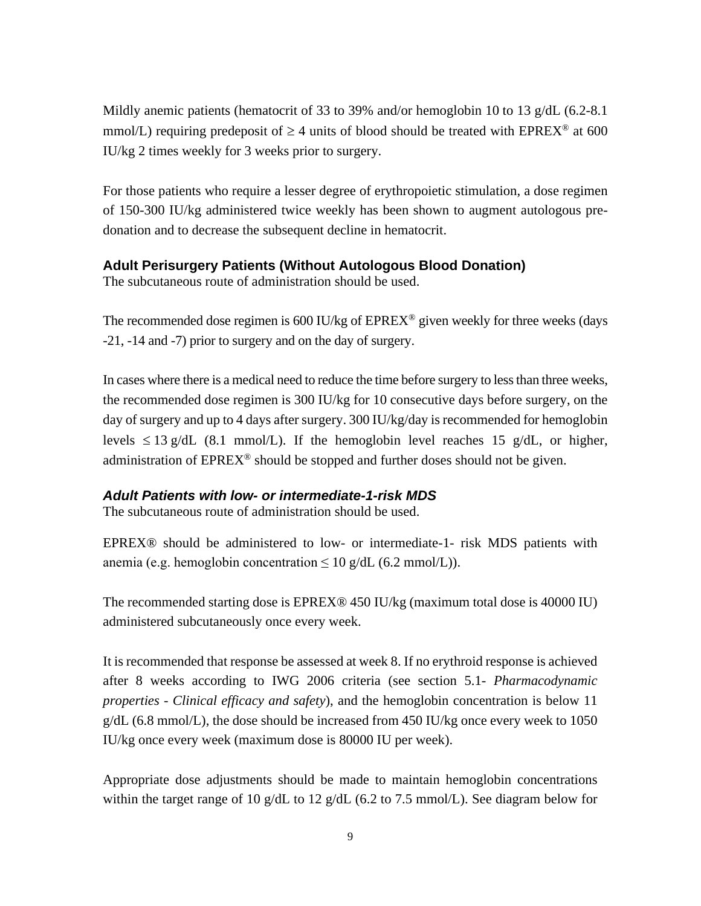Mildly anemic patients (hematocrit of 33 to 39% and/or hemoglobin 10 to 13 g/dL (6.2-8.1) mmol/L) requiring predeposit of  $\geq 4$  units of blood should be treated with EPREX<sup>®</sup> at 600 IU/kg 2 times weekly for 3 weeks prior to surgery.

For those patients who require a lesser degree of erythropoietic stimulation, a dose regimen of 150-300 IU/kg administered twice weekly has been shown to augment autologous predonation and to decrease the subsequent decline in hematocrit.

### **Adult Perisurgery Patients (Without Autologous Blood Donation)**

The subcutaneous route of administration should be used.

The recommended dose regimen is 600 IU/kg of  $EPREX^{\circledast}$  given weekly for three weeks (days -21, -14 and -7) prior to surgery and on the day of surgery.

In cases where there is a medical need to reduce the time before surgery to less than three weeks, the recommended dose regimen is 300 IU/kg for 10 consecutive days before surgery, on the day of surgery and up to 4 days after surgery. 300 IU/kg/day is recommended for hemoglobin levels  $\leq 13$  g/dL (8.1 mmol/L). If the hemoglobin level reaches 15 g/dL, or higher, administration of  $EPREX^{\circledcirc}$  should be stopped and further doses should not be given.

### *Adult Patients with low- or intermediate-1-risk MDS*

The subcutaneous route of administration should be used.

EPREX® should be administered to low- or intermediate-1- risk MDS patients with anemia (e.g. hemoglobin concentration  $\leq 10$  g/dL (6.2 mmol/L)).

The recommended starting dose is EPREX® 450 IU/kg (maximum total dose is 40000 IU) administered subcutaneously once every week.

It is recommended that response be assessed at week 8. If no erythroid response is achieved after 8 weeks according to IWG 2006 criteria (see section 5.1- *Pharmacodynamic properties - Clinical efficacy and safety*), and the hemoglobin concentration is below 11  $g/dL$  (6.8 mmol/L), the dose should be increased from 450 IU/kg once every week to 1050 IU/kg once every week (maximum dose is 80000 IU per week).

Appropriate dose adjustments should be made to maintain hemoglobin concentrations within the target range of 10 g/dL to 12 g/dL (6.2 to 7.5 mmol/L). See diagram below for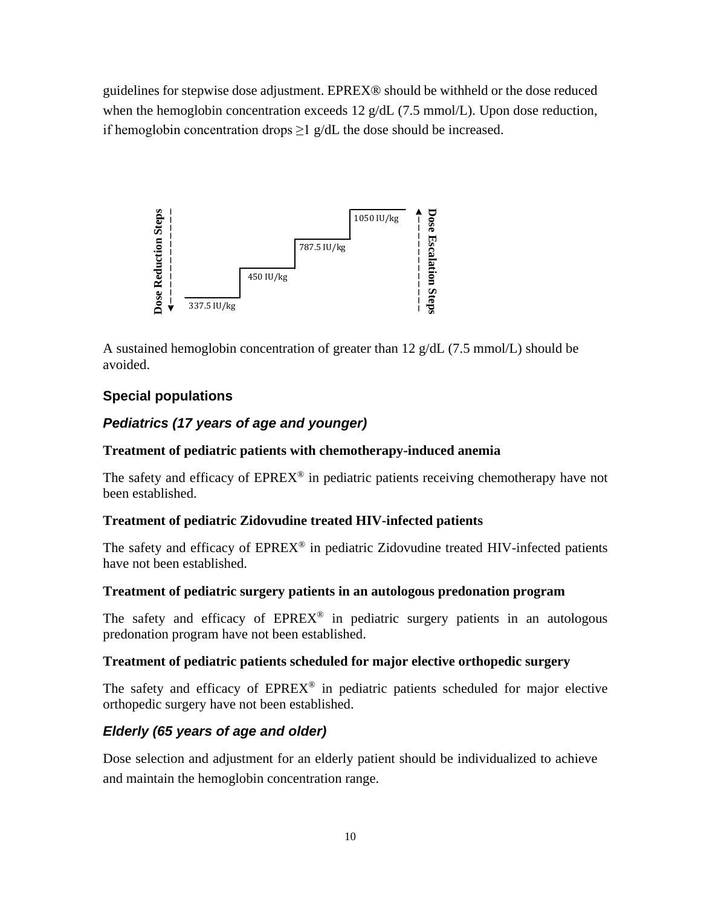guidelines for stepwise dose adjustment. EPREX® should be withheld or the dose reduced when the hemoglobin concentration exceeds 12 g/dL (7.5 mmol/L). Upon dose reduction, if hemoglobin concentration drops  $\geq 1$  g/dL the dose should be increased.



A sustained hemoglobin concentration of greater than 12 g/dL (7.5 mmol/L) should be avoided.

### **Special populations**

### *Pediatrics (17 years of age and younger)*

### **Treatment of pediatric patients with chemotherapy-induced anemia**

The safety and efficacy of  $EPREX^@$  in pediatric patients receiving chemotherapy have not been established.

#### **Treatment of pediatric Zidovudine treated HIV-infected patients**

The safety and efficacy of  $EPREX^{\circledast}$  in pediatric Zidovudine treated HIV-infected patients have not been established.

#### **Treatment of pediatric surgery patients in an autologous predonation program**

The safety and efficacy of  $EPREX^{\circledcirc}$  in pediatric surgery patients in an autologous predonation program have not been established.

### **Treatment of pediatric patients scheduled for major elective orthopedic surgery**

The safety and efficacy of  $EPREX^@$  in pediatric patients scheduled for major elective orthopedic surgery have not been established.

### *Elderly (65 years of age and older)*

Dose selection and adjustment for an elderly patient should be individualized to achieve and maintain the hemoglobin concentration range.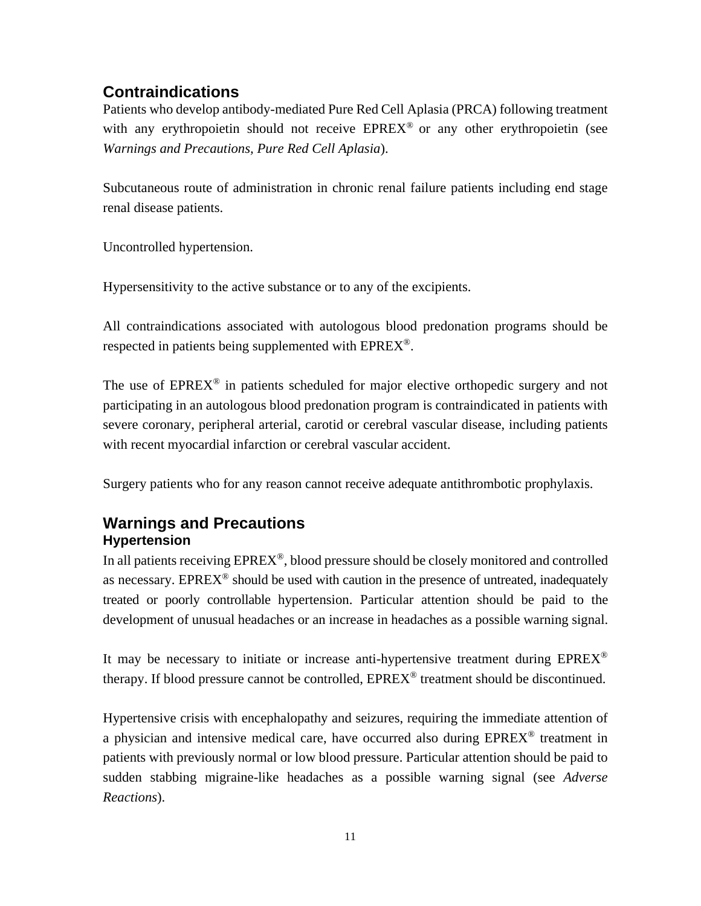# **Contraindications**

Patients who develop antibody-mediated Pure Red Cell Aplasia (PRCA) following treatment with any erythropoietin should not receive  $EPREX^{\circledast}$  or any other erythropoietin (see *Warnings and Precautions, Pure Red Cell Aplasia*).

Subcutaneous route of administration in chronic renal failure patients including end stage renal disease patients.

Uncontrolled hypertension.

Hypersensitivity to the active substance or to any of the excipients.

All contraindications associated with autologous blood predonation programs should be respected in patients being supplemented with  $EPREX^{\circledast}$ .

The use of  $EPREX^{\circledcirc}$  in patients scheduled for major elective orthopedic surgery and not participating in an autologous blood predonation program is contraindicated in patients with severe coronary, peripheral arterial, carotid or cerebral vascular disease, including patients with recent myocardial infarction or cerebral vascular accident.

Surgery patients who for any reason cannot receive adequate antithrombotic prophylaxis.

# **Warnings and Precautions Hypertension**

In all patients receiving  $EPREX^{\circledcirc}$ , blood pressure should be closely monitored and controlled as necessary. EPREX<sup>®</sup> should be used with caution in the presence of untreated, inadequately treated or poorly controllable hypertension. Particular attention should be paid to the development of unusual headaches or an increase in headaches as a possible warning signal.

It may be necessary to initiate or increase anti-hypertensive treatment during  $EPREX^{\circledcirc}$ therapy. If blood pressure cannot be controlled,  $EPREX^{\circledcirc}$  treatment should be discontinued.

Hypertensive crisis with encephalopathy and seizures, requiring the immediate attention of a physician and intensive medical care, have occurred also during EPREX® treatment in patients with previously normal or low blood pressure. Particular attention should be paid to sudden stabbing migraine-like headaches as a possible warning signal (see *Adverse Reactions*).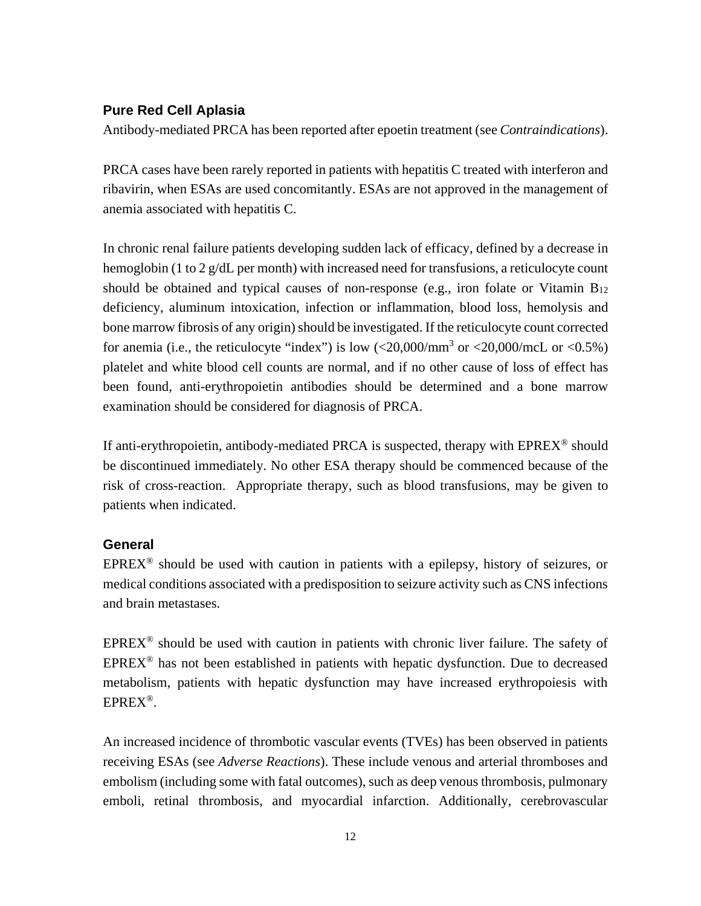### **Pure Red Cell Aplasia**

Antibody-mediated PRCA has been reported after epoetin treatment (see *Contraindications*).

PRCA cases have been rarely reported in patients with hepatitis C treated with interferon and ribavirin, when ESAs are used concomitantly. ESAs are not approved in the management of anemia associated with hepatitis C.

In chronic renal failure patients developing sudden lack of efficacy, defined by a decrease in hemoglobin (1 to 2 g/dL per month) with increased need for transfusions, a reticulocyte count should be obtained and typical causes of non-response (e.g., iron folate or Vitamin  $B_{12}$ ) deficiency, aluminum intoxication, infection or inflammation, blood loss, hemolysis and bone marrow fibrosis of any origin) should be investigated. If the reticulocyte count corrected for anemia (i.e., the reticulocyte "index") is low  $\langle 20,000/\text{mm}^3$  or  $\langle 20,000/\text{mc}$  or  $\langle 0.5\% \rangle$ platelet and white blood cell counts are normal, and if no other cause of loss of effect has been found, anti-erythropoietin antibodies should be determined and a bone marrow examination should be considered for diagnosis of PRCA.

If anti-erythropoietin, antibody-mediated PRCA is suspected, therapy with EPREX® should be discontinued immediately. No other ESA therapy should be commenced because of the risk of cross-reaction. Appropriate therapy, such as blood transfusions, may be given to patients when indicated.

### **General**

 $EPREX<sup>®</sup>$  should be used with caution in patients with a epilepsy, history of seizures, or medical conditions associated with a predisposition to seizure activity such as CNS infections and brain metastases.

 $EPREX^{\circledast}$  should be used with caution in patients with chronic liver failure. The safety of  $EPREX<sup>®</sup>$  has not been established in patients with hepatic dysfunction. Due to decreased metabolism, patients with hepatic dysfunction may have increased erythropoiesis with EPREX®.

An increased incidence of thrombotic vascular events (TVEs) has been observed in patients receiving ESAs (see *Adverse Reactions*). These include venous and arterial thromboses and embolism (including some with fatal outcomes), such as deep venous thrombosis, pulmonary emboli, retinal thrombosis, and myocardial infarction. Additionally, cerebrovascular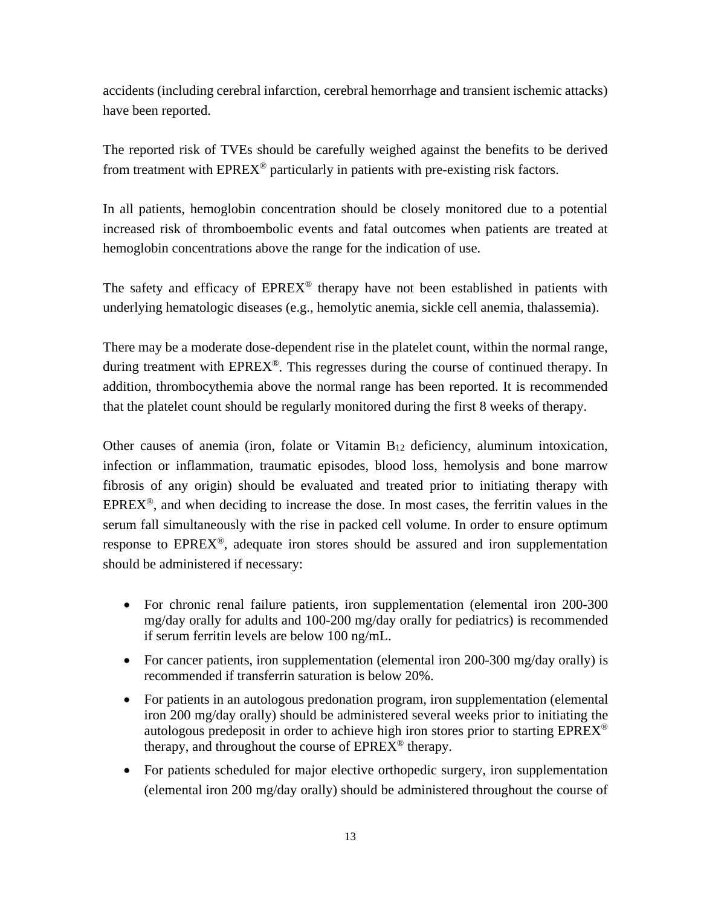accidents (including cerebral infarction, cerebral hemorrhage and transient ischemic attacks) have been reported.

The reported risk of TVEs should be carefully weighed against the benefits to be derived from treatment with  $EPREX^{\circledast}$  particularly in patients with pre-existing risk factors.

In all patients, hemoglobin concentration should be closely monitored due to a potential increased risk of thromboembolic events and fatal outcomes when patients are treated at hemoglobin concentrations above the range for the indication of use.

The safety and efficacy of  $EPREX^{\circledcirc}$  therapy have not been established in patients with underlying hematologic diseases (e.g., hemolytic anemia, sickle cell anemia, thalassemia).

There may be a moderate dose-dependent rise in the platelet count, within the normal range, during treatment with  $EPREX^{\circledcirc}$ . This regresses during the course of continued therapy. In addition, thrombocythemia above the normal range has been reported. It is recommended that the platelet count should be regularly monitored during the first 8 weeks of therapy.

Other causes of anemia (iron, folate or Vitamin B12 deficiency, aluminum intoxication, infection or inflammation, traumatic episodes, blood loss, hemolysis and bone marrow fibrosis of any origin) should be evaluated and treated prior to initiating therapy with  $EPREX<sup>®</sup>$ , and when deciding to increase the dose. In most cases, the ferritin values in the serum fall simultaneously with the rise in packed cell volume. In order to ensure optimum response to  $EPREX^{\circledcirc}$ , adequate iron stores should be assured and iron supplementation should be administered if necessary:

- For chronic renal failure patients, iron supplementation (elemental iron 200-300) mg/day orally for adults and 100-200 mg/day orally for pediatrics) is recommended if serum ferritin levels are below 100 ng/mL.
- For cancer patients, iron supplementation (elemental iron 200-300 mg/day orally) is recommended if transferrin saturation is below 20%.
- For patients in an autologous predonation program, iron supplementation (elemental iron 200 mg/day orally) should be administered several weeks prior to initiating the autologous predeposit in order to achieve high iron stores prior to starting  $EPREX^{\circledcirc}$ therapy, and throughout the course of  $EPREX^{\circledast}$  therapy.
- For patients scheduled for major elective orthopedic surgery, iron supplementation (elemental iron 200 mg/day orally) should be administered throughout the course of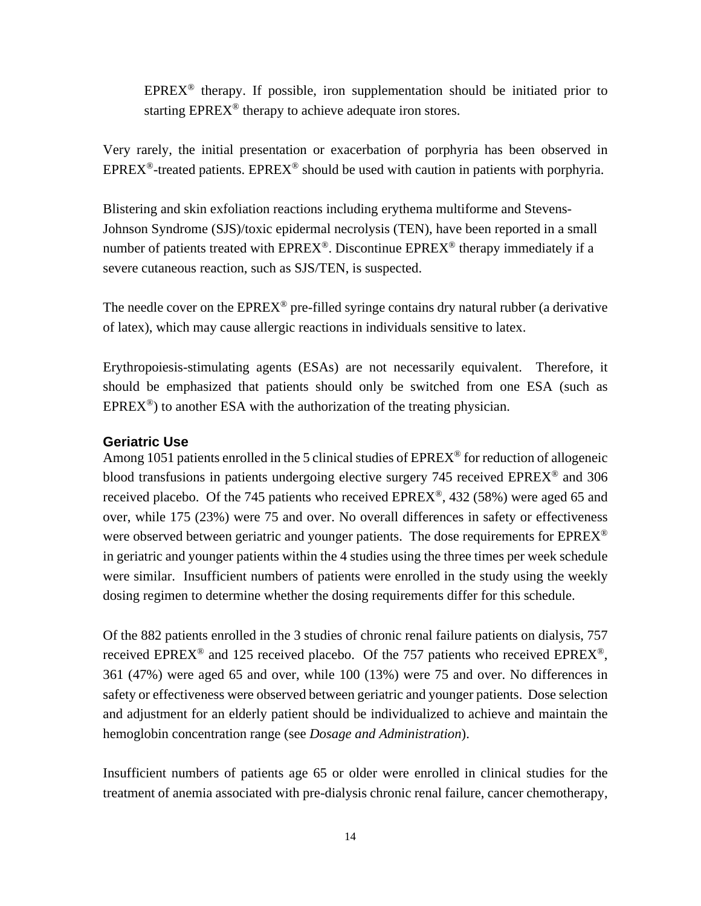$EPREX^{\circledcirc}$  therapy. If possible, iron supplementation should be initiated prior to starting EPREX<sup>®</sup> therapy to achieve adequate iron stores.

Very rarely, the initial presentation or exacerbation of porphyria has been observed in EPREX<sup>®</sup>-treated patients. EPREX<sup>®</sup> should be used with caution in patients with porphyria.

Blistering and skin exfoliation reactions including erythema multiforme and Stevens-Johnson Syndrome (SJS)/toxic epidermal necrolysis (TEN), have been reported in a small number of patients treated with  $EPREX^{\circledast}$ . Discontinue  $EPREX^{\circledast}$  therapy immediately if a severe cutaneous reaction, such as SJS/TEN, is suspected.

The needle cover on the EPREX<sup>®</sup> pre-filled syringe contains dry natural rubber (a derivative of latex), which may cause allergic reactions in individuals sensitive to latex.

Erythropoiesis-stimulating agents (ESAs) are not necessarily equivalent. Therefore, it should be emphasized that patients should only be switched from one ESA (such as  $EPREX^{\circledcirc}$ ) to another ESA with the authorization of the treating physician.

### **Geriatric Use**

Among 1051 patients enrolled in the 5 clinical studies of  $EPREX^{\circledcirc}$  for reduction of allogeneic blood transfusions in patients undergoing elective surgery 745 received EPREX<sup>®</sup> and 306 received placebo. Of the 745 patients who received EPREX®, 432 (58%) were aged 65 and over, while 175 (23%) were 75 and over. No overall differences in safety or effectiveness were observed between geriatric and younger patients. The dose requirements for  $EPREX^{\circledast}$ in geriatric and younger patients within the 4 studies using the three times per week schedule were similar. Insufficient numbers of patients were enrolled in the study using the weekly dosing regimen to determine whether the dosing requirements differ for this schedule.

Of the 882 patients enrolled in the 3 studies of chronic renal failure patients on dialysis, 757 received EPREX<sup>®</sup> and 125 received placebo. Of the 757 patients who received EPREX<sup>®</sup>, 361 (47%) were aged 65 and over, while 100 (13%) were 75 and over. No differences in safety or effectiveness were observed between geriatric and younger patients. Dose selection and adjustment for an elderly patient should be individualized to achieve and maintain the hemoglobin concentration range (see *Dosage and Administration*).

Insufficient numbers of patients age 65 or older were enrolled in clinical studies for the treatment of anemia associated with pre-dialysis chronic renal failure, cancer chemotherapy,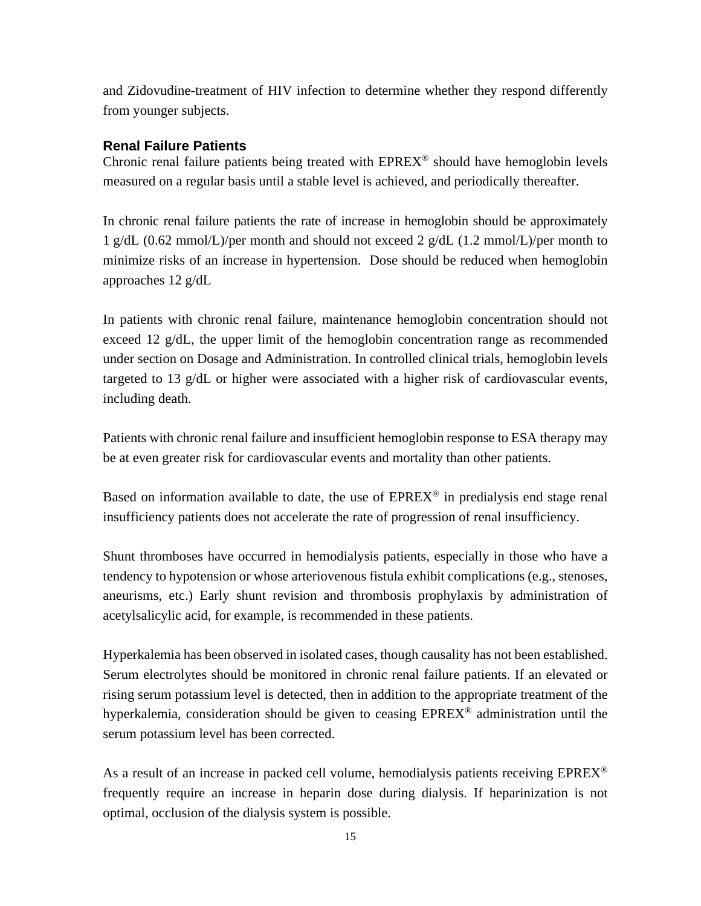and Zidovudine-treatment of HIV infection to determine whether they respond differently from younger subjects.

### **Renal Failure Patients**

Chronic renal failure patients being treated with  $EPREX^{\circledcirc}$  should have hemoglobin levels measured on a regular basis until a stable level is achieved, and periodically thereafter.

In chronic renal failure patients the rate of increase in hemoglobin should be approximately 1 g/dL (0.62 mmol/L)/per month and should not exceed 2 g/dL (1.2 mmol/L)/per month to minimize risks of an increase in hypertension. Dose should be reduced when hemoglobin approaches 12 g/dL

In patients with chronic renal failure, maintenance hemoglobin concentration should not exceed 12 g/dL, the upper limit of the hemoglobin concentration range as recommended under section on Dosage and Administration. In controlled clinical trials, hemoglobin levels targeted to 13 g/dL or higher were associated with a higher risk of cardiovascular events, including death.

Patients with chronic renal failure and insufficient hemoglobin response to ESA therapy may be at even greater risk for cardiovascular events and mortality than other patients.

Based on information available to date, the use of  $EPREX^{\circledast}$  in predialysis end stage renal insufficiency patients does not accelerate the rate of progression of renal insufficiency.

Shunt thromboses have occurred in hemodialysis patients, especially in those who have a tendency to hypotension or whose arteriovenous fistula exhibit complications (e.g., stenoses, aneurisms, etc.) Early shunt revision and thrombosis prophylaxis by administration of acetylsalicylic acid, for example, is recommended in these patients.

Hyperkalemia has been observed in isolated cases, though causality has not been established. Serum electrolytes should be monitored in chronic renal failure patients. If an elevated or rising serum potassium level is detected, then in addition to the appropriate treatment of the hyperkalemia, consideration should be given to ceasing EPREX® administration until the serum potassium level has been corrected.

As a result of an increase in packed cell volume, hemodialysis patients receiving  $EPREX^{\circledcirc}$ frequently require an increase in heparin dose during dialysis. If heparinization is not optimal, occlusion of the dialysis system is possible.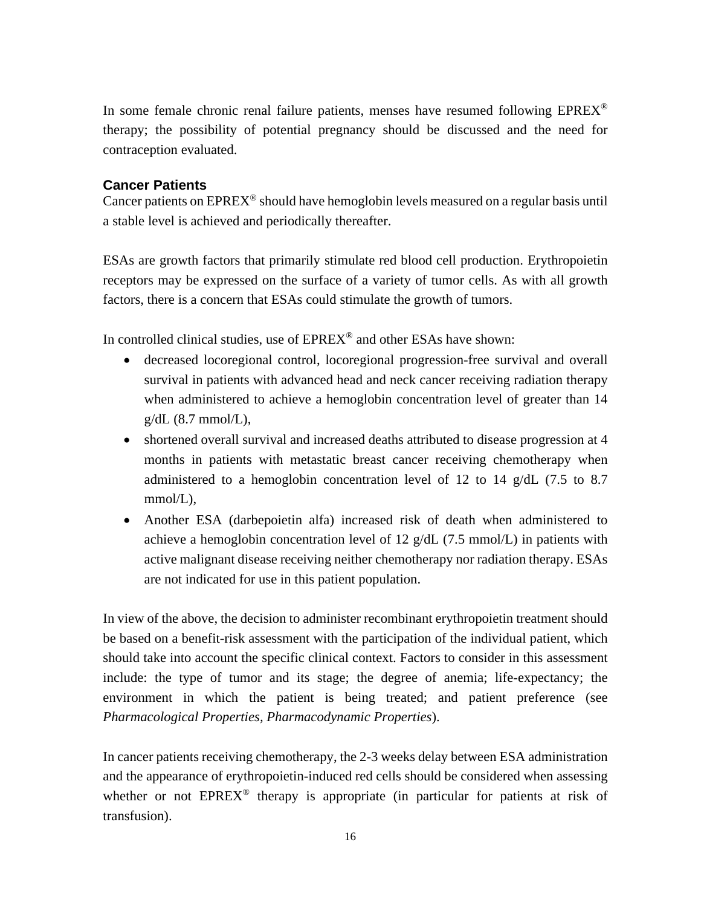In some female chronic renal failure patients, menses have resumed following  $EPREX^{\circledcirc}$ therapy; the possibility of potential pregnancy should be discussed and the need for contraception evaluated.

### **Cancer Patients**

Cancer patients on  $EPREX^{\circledast}$  should have hemoglobin levels measured on a regular basis until a stable level is achieved and periodically thereafter.

ESAs are growth factors that primarily stimulate red blood cell production. Erythropoietin receptors may be expressed on the surface of a variety of tumor cells. As with all growth factors, there is a concern that ESAs could stimulate the growth of tumors.

In controlled clinical studies, use of  $EPREX^{\circledast}$  and other ESAs have shown:

- decreased locoregional control, locoregional progression-free survival and overall survival in patients with advanced head and neck cancer receiving radiation therapy when administered to achieve a hemoglobin concentration level of greater than 14  $g/dL$  (8.7 mmol/L),
- shortened overall survival and increased deaths attributed to disease progression at 4 months in patients with metastatic breast cancer receiving chemotherapy when administered to a hemoglobin concentration level of 12 to 14  $g/dL$  (7.5 to 8.7) mmol/L),
- Another ESA (darbepoietin alfa) increased risk of death when administered to achieve a hemoglobin concentration level of 12  $g/dL$  (7.5 mmol/L) in patients with active malignant disease receiving neither chemotherapy nor radiation therapy. ESAs are not indicated for use in this patient population.

In view of the above, the decision to administer recombinant erythropoietin treatment should be based on a benefit-risk assessment with the participation of the individual patient, which should take into account the specific clinical context. Factors to consider in this assessment include: the type of tumor and its stage; the degree of anemia; life-expectancy; the environment in which the patient is being treated; and patient preference (see *Pharmacological Properties, Pharmacodynamic Properties*).

In cancer patients receiving chemotherapy, the 2-3 weeks delay between ESA administration and the appearance of erythropoietin-induced red cells should be considered when assessing whether or not EPREX<sup>®</sup> therapy is appropriate (in particular for patients at risk of transfusion).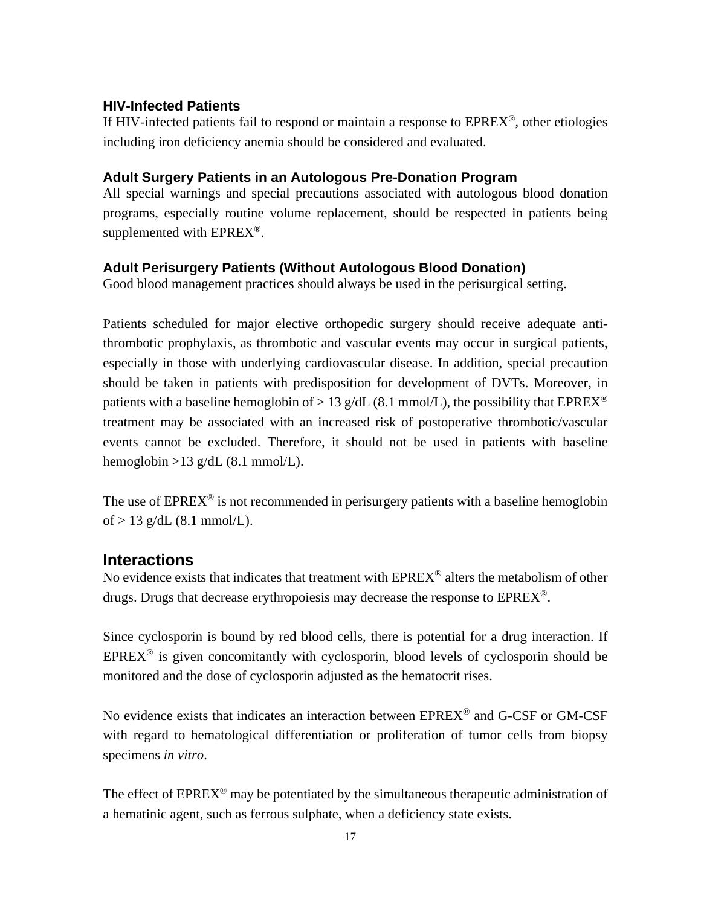### **HIV-Infected Patients**

If HIV-infected patients fail to respond or maintain a response to  $EPREX^{\circledast}$ , other etiologies including iron deficiency anemia should be considered and evaluated.

### **Adult Surgery Patients in an Autologous Pre-Donation Program**

All special warnings and special precautions associated with autologous blood donation programs, especially routine volume replacement, should be respected in patients being supplemented with EPREX<sup>®</sup>.

### **Adult Perisurgery Patients (Without Autologous Blood Donation)**

Good blood management practices should always be used in the perisurgical setting.

Patients scheduled for major elective orthopedic surgery should receive adequate antithrombotic prophylaxis, as thrombotic and vascular events may occur in surgical patients, especially in those with underlying cardiovascular disease. In addition, special precaution should be taken in patients with predisposition for development of DVTs. Moreover, in patients with a baseline hemoglobin of  $> 13$  g/dL (8.1 mmol/L), the possibility that EPREX<sup>®</sup> treatment may be associated with an increased risk of postoperative thrombotic/vascular events cannot be excluded. Therefore, it should not be used in patients with baseline hemoglobin  $>13$  g/dL (8.1 mmol/L).

The use of  $EPREX^{\circledcirc}$  is not recommended in perisurgery patients with a baseline hemoglobin of  $> 13$  g/dL (8.1 mmol/L).

### **Interactions**

No evidence exists that indicates that treatment with EPREX® alters the metabolism of other drugs. Drugs that decrease erythropoiesis may decrease the response to  $EPREX^@$ .

Since cyclosporin is bound by red blood cells, there is potential for a drug interaction. If  $EPREX^{\circledast}$  is given concomitantly with cyclosporin, blood levels of cyclosporin should be monitored and the dose of cyclosporin adjusted as the hematocrit rises.

No evidence exists that indicates an interaction between EPREX® and G-CSF or GM-CSF with regard to hematological differentiation or proliferation of tumor cells from biopsy specimens *in vitro*.

The effect of  $EPREX^{\circledast}$  may be potentiated by the simultaneous therapeutic administration of a hematinic agent, such as ferrous sulphate, when a deficiency state exists.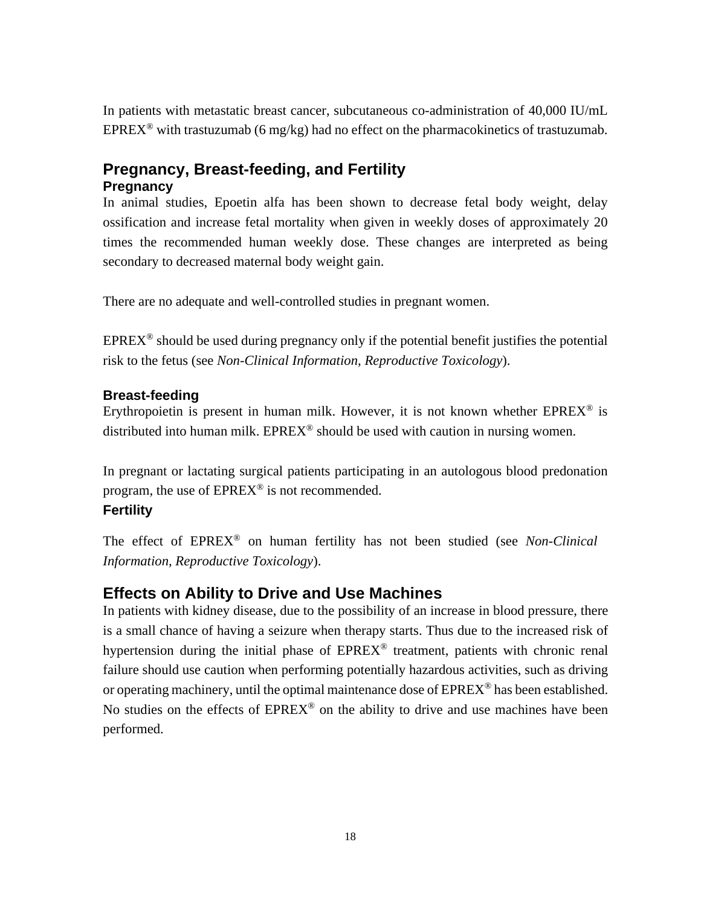In patients with metastatic breast cancer, subcutaneous co-administration of 40,000 IU/mL EPREX<sup>®</sup> with trastuzumab (6 mg/kg) had no effect on the pharmacokinetics of trastuzumab.

### **Pregnancy, Breast-feeding, and Fertility Pregnancy**

In animal studies, Epoetin alfa has been shown to decrease fetal body weight, delay ossification and increase fetal mortality when given in weekly doses of approximately 20 times the recommended human weekly dose. These changes are interpreted as being secondary to decreased maternal body weight gain.

There are no adequate and well-controlled studies in pregnant women.

 $EPREX^{\circledcirc}$  should be used during pregnancy only if the potential benefit justifies the potential risk to the fetus (see *Non-Clinical Information, Reproductive Toxicology*).

### **Breast-feeding**

Erythropoietin is present in human milk. However, it is not known whether  $EPREX^{\circledast}$  is distributed into human milk.  $EPREX^{\circledcirc}$  should be used with caution in nursing women.

In pregnant or lactating surgical patients participating in an autologous blood predonation program, the use of EPREX® is not recommended.

### **Fertility**

The effect of EPREX® on human fertility has not been studied (see *Non-Clinical Information, Reproductive Toxicology*).

### **Effects on Ability to Drive and Use Machines**

In patients with kidney disease, due to the possibility of an increase in blood pressure, there is a small chance of having a seizure when therapy starts. Thus due to the increased risk of hypertension during the initial phase of  $EPREX^{\circledcirc}$  treatment, patients with chronic renal failure should use caution when performing potentially hazardous activities, such as driving or operating machinery, until the optimal maintenance dose of  $EPREX^{\circledcirc}$  has been established. No studies on the effects of  $EPREX^{\circledast}$  on the ability to drive and use machines have been performed.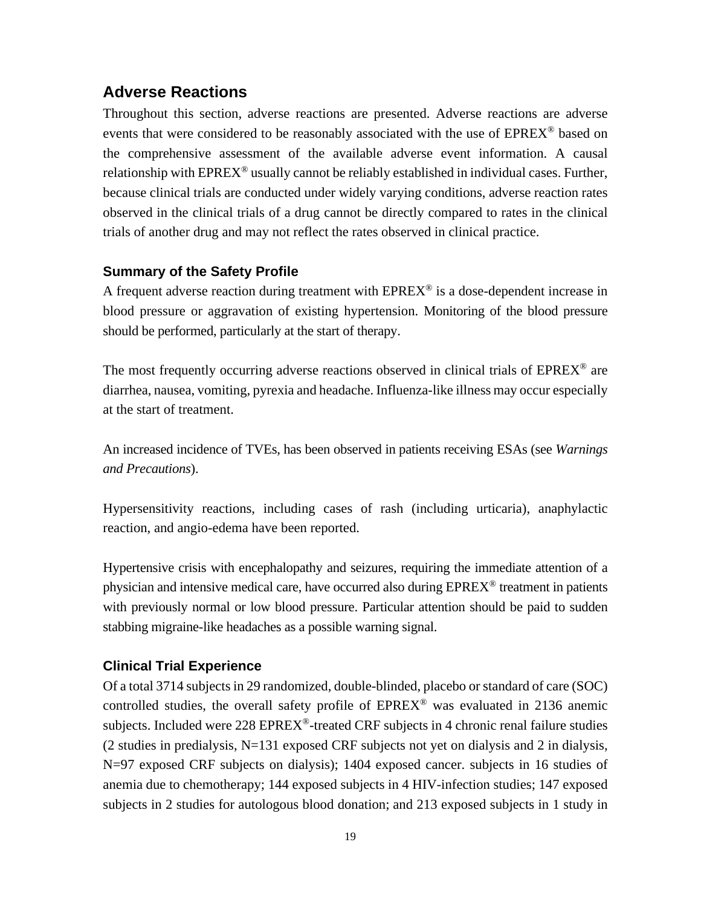### **Adverse Reactions**

Throughout this section, adverse reactions are presented. Adverse reactions are adverse events that were considered to be reasonably associated with the use of EPREX<sup>®</sup> based on the comprehensive assessment of the available adverse event information. A causal relationship with  $EPREX^{\circledast}$  usually cannot be reliably established in individual cases. Further, because clinical trials are conducted under widely varying conditions, adverse reaction rates observed in the clinical trials of a drug cannot be directly compared to rates in the clinical trials of another drug and may not reflect the rates observed in clinical practice.

### **Summary of the Safety Profile**

A frequent adverse reaction during treatment with  $EPREX^{\circledcirc}$  is a dose-dependent increase in blood pressure or aggravation of existing hypertension. Monitoring of the blood pressure should be performed, particularly at the start of therapy.

The most frequently occurring adverse reactions observed in clinical trials of  $EPREX^{\circledast}$  are diarrhea, nausea, vomiting, pyrexia and headache. Influenza-like illness may occur especially at the start of treatment.

An increased incidence of TVEs, has been observed in patients receiving ESAs (see *Warnings and Precautions*).

Hypersensitivity reactions, including cases of rash (including urticaria), anaphylactic reaction, and angio-edema have been reported.

Hypertensive crisis with encephalopathy and seizures, requiring the immediate attention of a physician and intensive medical care, have occurred also during  $EPREX^{\otimes}$  treatment in patients with previously normal or low blood pressure. Particular attention should be paid to sudden stabbing migraine-like headaches as a possible warning signal.

### **Clinical Trial Experience**

Of a total 3714 subjects in 29 randomized, double-blinded, placebo or standard of care (SOC) controlled studies, the overall safety profile of  $EPREX^{\circledcirc}$  was evaluated in 2136 anemic subjects. Included were 228 EPREX®-treated CRF subjects in 4 chronic renal failure studies  $(2 \text{ studies in predialysis}, N=131 \text{ exposed CRF subjects not yet on dialysis and } 2 \text{ in dialysis},$ N=97 exposed CRF subjects on dialysis); 1404 exposed cancer. subjects in 16 studies of anemia due to chemotherapy; 144 exposed subjects in 4 HIV-infection studies; 147 exposed subjects in 2 studies for autologous blood donation; and 213 exposed subjects in 1 study in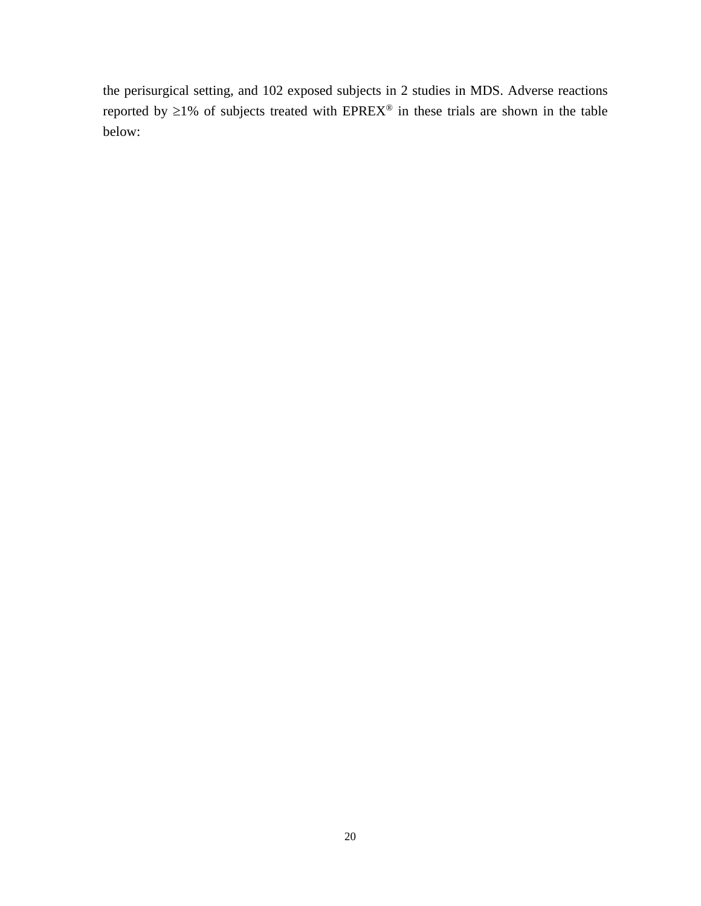the perisurgical setting, and 102 exposed subjects in 2 studies in MDS. Adverse reactions reported by  $\geq$ 1% of subjects treated with EPREX<sup>®</sup> in these trials are shown in the table below: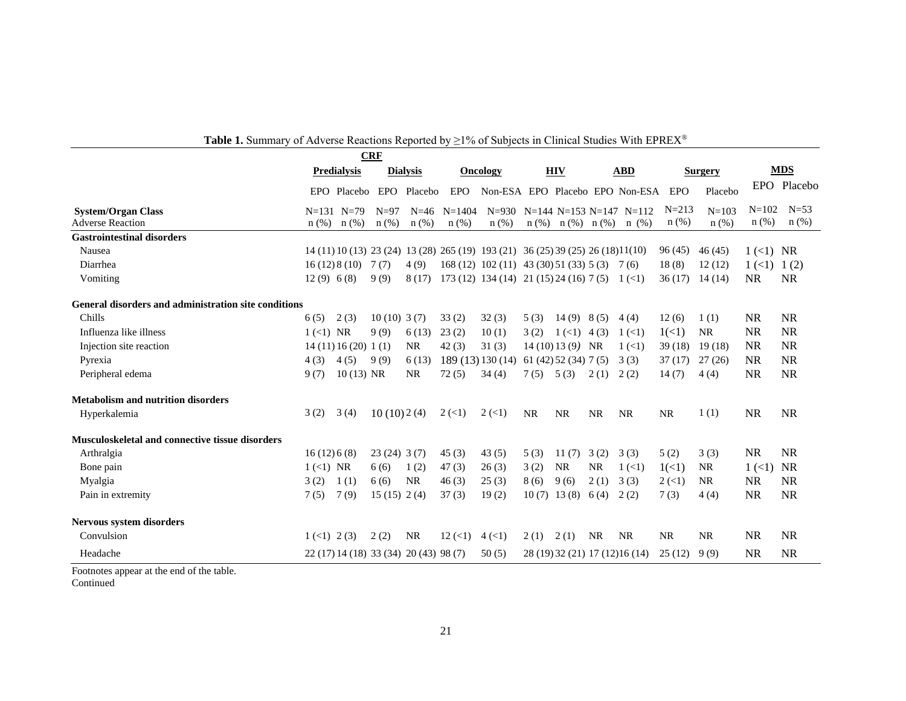|                                                        |                                         |                     | <b>CRF</b>    |                                        |                           |                                                                  |               |                      |           | of the velocal negativity responses by $\pm 1$ to or babyleets in changed budded while El KETS. |                           |                |              |             |
|--------------------------------------------------------|-----------------------------------------|---------------------|---------------|----------------------------------------|---------------------------|------------------------------------------------------------------|---------------|----------------------|-----------|-------------------------------------------------------------------------------------------------|---------------------------|----------------|--------------|-------------|
|                                                        |                                         | <b>Predialysis</b>  |               | <b>Dialysis</b>                        |                           | <b>Oncology</b>                                                  |               | <b>HIV</b>           |           | <b>ABD</b>                                                                                      |                           | <b>Surgery</b> |              | <b>MDS</b>  |
|                                                        |                                         | EPO Placebo         |               | EPO Placebo                            | EPO                       |                                                                  |               |                      |           | Non-ESA EPO Placebo EPO Non-ESA                                                                 | EPO                       | Placebo        |              | EPO Placebo |
| <b>System/Organ Class</b>                              |                                         | $N=131$ $N=79$      | $N=97$        | $N=46$                                 | $N = 1404$                |                                                                  |               |                      |           | $N=930$ $N=144$ $N=153$ $N=147$ $N=112$                                                         | $N = 213$                 | $N = 103$      | $N = 102$    | $N=53$      |
| <b>Adverse Reaction</b>                                | $n$ (%)                                 | $n$ (%)             | $n$ (%)       | $n$ (%)                                | $n$ (%)                   | $n$ (%)                                                          | $n$ (%)       | $n(\%)$ $n(\%)$      |           | $n \ (\%)$                                                                                      | $n$ (%)                   | n(%)           | $n$ (%)      | $n$ (%)     |
| <b>Gastrointestinal disorders</b>                      |                                         |                     |               |                                        |                           |                                                                  |               |                      |           |                                                                                                 |                           |                |              |             |
| Nausea                                                 |                                         |                     |               |                                        |                           | $14(11)10(13)23(24)13(28)265(19)193(21)36(25)39(25)26(18)11(10)$ |               |                      |           |                                                                                                 | 96 (45)                   | 46(45)         | $1 (<1)$ NR  |             |
| Diarrhea                                               |                                         | $16(12)8(10)$ 7(7)  |               | 4(9)                                   |                           | $168(12)$ $102(11)$ $43(30)51(33)5(3)$ 7(6)                      |               |                      |           |                                                                                                 | 18(8)                     | 12(12)         | $1 \,(<)1$   | 1(2)        |
| Vomiting                                               | 12(9) 6(8)                              |                     | 9(9)          | 8(17)                                  |                           | 173 (12) 134 (14) 21 (15) 24 (16) 7 (5) 1 (<1)                   |               |                      |           |                                                                                                 | 36(17)                    | 14(14)         | <b>NR</b>    | <b>NR</b>   |
| General disorders and administration site conditions   |                                         |                     |               |                                        |                           |                                                                  |               |                      |           |                                                                                                 |                           |                |              |             |
| Chills                                                 | 6(5)                                    | 2(3)                | $10(10)$ 3(7) |                                        | 33(2)                     | 32(3)                                                            | 5(3)          | 14(9) 8(5)           |           | 4(4)                                                                                            | 12(6)                     | 1(1)           | <b>NR</b>    | <b>NR</b>   |
| Influenza like illness                                 | $1 (<1)$ NR                             |                     | 9(9)          | 6(13)                                  | 23(2)                     | 10(1)                                                            | 3(2)          | $1 \times 1$ 4 (3)   |           | $1 \,(<)1$                                                                                      | 1(<1)                     | <b>NR</b>      | <b>NR</b>    | <b>NR</b>   |
| Injection site reaction                                |                                         | 14(11)16(20)1(1)    |               | <b>NR</b>                              | 42(3)                     | 31(3)                                                            |               | $14(10)13(9)$ NR     |           | $1 \,(<)1$                                                                                      | 39(18)                    | 19(18)         | <b>NR</b>    | <b>NR</b>   |
| Pyrexia                                                | 4(3)                                    | 4(5)                | 9(9)          | 6(13)                                  |                           | 189(13)130(14)                                                   |               | 61(42)52(34)7(5)     |           | 3(3)                                                                                            | 37(17)                    | 27(26)         | <b>NR</b>    | <b>NR</b>   |
| Peripheral edema                                       | 9(7)                                    | $10(13) \text{ NR}$ |               | <b>NR</b>                              | 72(5)                     | 34(4)                                                            | $7(5)$ $5(3)$ |                      | 2(1)      | 2(2)                                                                                            | 14(7)                     | 4(4)           | <b>NR</b>    | <b>NR</b>   |
| <b>Metabolism and nutrition disorders</b>              |                                         |                     |               |                                        |                           |                                                                  |               |                      |           |                                                                                                 |                           |                |              |             |
| Hyperkalemia                                           | 3(2)                                    | 3(4)                | 10(10)2(4)    |                                        | $2 \left( \leq 1 \right)$ | $2 \left( \leq 1 \right)$                                        | <b>NR</b>     | <b>NR</b>            | <b>NR</b> | <b>NR</b>                                                                                       | <b>NR</b>                 | 1(1)           | <b>NR</b>    | <b>NR</b>   |
| <b>Musculoskeletal and connective tissue disorders</b> |                                         |                     |               |                                        |                           |                                                                  |               |                      |           |                                                                                                 |                           |                |              |             |
| Arthralgia                                             | 16(12)6(8)                              |                     | 23(24)3(7)    |                                        | 45(3)                     | 43(5)                                                            | 5(3)          | 11(7)                | 3(2)      | 3(3)                                                                                            | 5(2)                      | 3(3)           | <b>NR</b>    | <b>NR</b>   |
| Bone pain                                              | $1 (<1)$ NR                             |                     | 6(6)          | 1(2)                                   | 47(3)                     | 26(3)                                                            | 3(2)          | <b>NR</b>            | <b>NR</b> | $1 \left( \leq 1 \right)$                                                                       | $1(\leq 1)$               | <b>NR</b>      | $1 (\leq 1)$ | <b>NR</b>   |
| Myalgia                                                | 3(2)                                    | 1(1)                | 6(6)          | <b>NR</b>                              | 46(3)                     | 25(3)                                                            | 8(6)          | 9(6)                 | 2(1)      | 3(3)                                                                                            | $2 \left( \leq 1 \right)$ | <b>NR</b>      | <b>NR</b>    | <b>NR</b>   |
| Pain in extremity                                      | 7(5)                                    | 7(9)                | 15(15) 2(4)   |                                        | 37(3)                     | 19(2)                                                            |               | $10(7)$ 13 (8) 6 (4) |           | 2(2)                                                                                            | 7(3)                      | 4(4)           | <b>NR</b>    | <b>NR</b>   |
| <b>Nervous system disorders</b>                        |                                         |                     |               |                                        |                           |                                                                  |               |                      |           |                                                                                                 |                           |                |              |             |
| Convulsion                                             | $1 \left( 1 \right) 2 \left( 3 \right)$ |                     | 2(2)          | <b>NR</b>                              | $12 \,(<)1$               | $4 \left( 1 \right)$                                             | $2(1)$ $2(1)$ |                      | NR        | <b>NR</b>                                                                                       | NR                        | <b>NR</b>      | <b>NR</b>    | <b>NR</b>   |
| Headache                                               |                                         |                     |               | 22 (17) 14 (18) 33 (34) 20 (43) 98 (7) |                           | 50(5)                                                            |               |                      |           | 28 (19) 32 (21) 17 (12) 16 (14)                                                                 | 25(12)                    | 9(9)           | <b>NR</b>    | <b>NR</b>   |

**Table 1.** Summary of Adverse Reactions Reported by ≥1% of Subjects in Clinical Studies With EPREX®

Footnotes appear at the end of the table.

Continued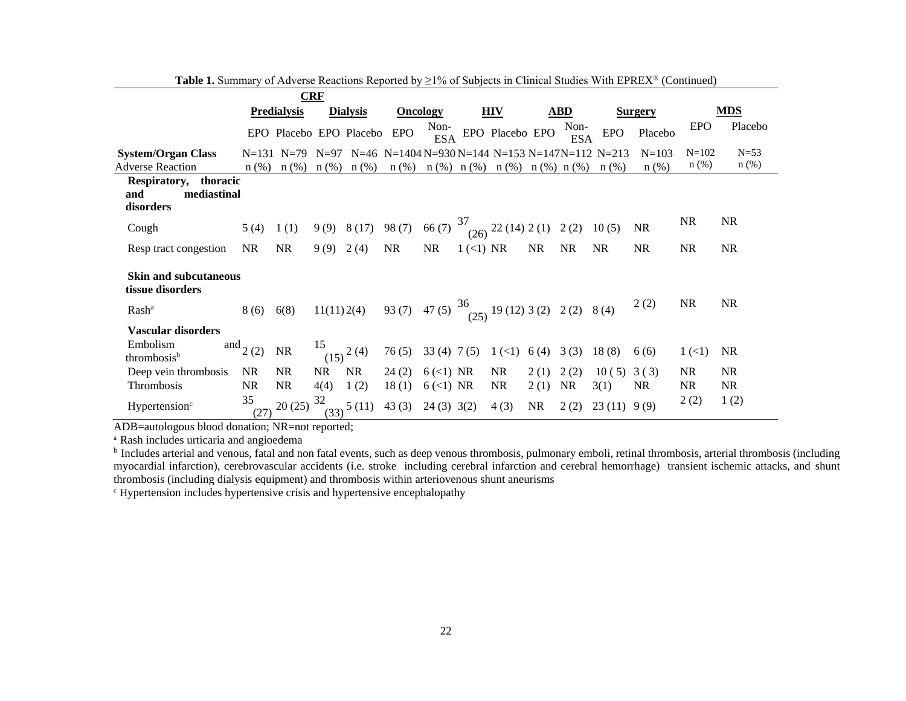|                                                          |            | <b>CRF</b>              |            |                        |                                                           |                    |           |                                         |           |                    |            |                |            |           |
|----------------------------------------------------------|------------|-------------------------|------------|------------------------|-----------------------------------------------------------|--------------------|-----------|-----------------------------------------|-----------|--------------------|------------|----------------|------------|-----------|
|                                                          |            | <b>Predialysis</b>      |            | <b>Dialysis</b>        | <b>Oncology</b>                                           |                    |           | <b>HIV</b>                              |           | <b>ABD</b>         |            | <b>Surgery</b> |            | MDS       |
|                                                          |            | EPO Placebo EPO Placebo |            |                        | EPO                                                       | Non-<br><b>ESA</b> |           | EPO Placebo EPO                         |           | Non-<br><b>ESA</b> | <b>EPO</b> | Placebo        | <b>EPO</b> | Placebo   |
| <b>System/Organ Class</b>                                |            | $N=131$ $N=79$          | $N=97$     |                        | N=46 N=1404 N=930 N=144 N=153 N=147N=112 N=213            |                    |           |                                         |           |                    |            | $N = 103$      | $N = 102$  | $N=53$    |
| <b>Adverse Reaction</b>                                  | $n$ (%)    | $n$ (%)                 | $n$ (%)    | $n$ (%)                | $n$ (%)                                                   |                    |           | $n$ (%) $n$ (%) $n$ (%) $n$ (%) $n$ (%) |           |                    | n(%)       | $n(\%)$        | $n$ (%)    | $n$ (%)   |
| Respiratory, thoracic<br>mediastinal<br>and<br>disorders |            |                         |            |                        |                                                           |                    |           |                                         |           |                    |            |                |            |           |
| Cough                                                    | 5(4)       | 1(1)                    |            | $9(9)$ $8(17)$ $98(7)$ |                                                           | 66(7)              | 37        | $(26)$ 22 (14) 2 (1) 2 (2)              |           |                    | 10(5)      | <b>NR</b>      | <b>NR</b>  | <b>NR</b> |
| Resp tract congestion                                    | <b>NR</b>  | <b>NR</b>               | 9(9) 2(4)  |                        | <b>NR</b>                                                 | <b>NR</b>          | 1 (<1) NR |                                         | <b>NR</b> | NR.                | <b>NR</b>  | <b>NR</b>      | <b>NR</b>  | <b>NR</b> |
| <b>Skin and subcutaneous</b><br>tissue disorders         |            |                         |            |                        |                                                           |                    |           |                                         |           |                    |            |                |            |           |
| Rash <sup>a</sup>                                        | 8(6)       | 6(8)                    | 11(11)2(4) |                        | 93 (7) 47 (5) $\frac{36}{(25)}$ 19 (12) 3 (2) 2 (2) 8 (4) |                    |           |                                         |           |                    |            | 2(2)           | <b>NR</b>  | <b>NR</b> |
| <b>Vascular disorders</b>                                |            |                         |            |                        |                                                           |                    |           |                                         |           |                    |            |                |            |           |
| Embolism<br>thrombosis <sup>b</sup>                      | and $(2)$  | <b>NR</b>               | 15         | $(15)$ <sup>2(4)</sup> | 76(5)                                                     | $33(4)$ 7(5)       |           | $1(\leq 1)$                             | 6 (4)     | 3(3)               | 18(8)      | 6(6)           | $1 \,(<)1$ | <b>NR</b> |
| Deep vein thrombosis                                     | NR.        | NR.                     | <b>NR</b>  | <b>NR</b>              | 24(2)                                                     | $6$ (<1) NR        |           | NR                                      | 2(1)      | 2(2)               | 10(5)      | 3(3)           | <b>NR</b>  | <b>NR</b> |
| Thrombosis                                               | <b>NR</b>  | <b>NR</b>               | 4(4)       | 1(2)                   | 18(1)                                                     | $6$ (<1) NR        |           | <b>NR</b>                               | 2(1)      | <b>NR</b>          | 3(1)       | <b>NR</b>      | <b>NR</b>  | <b>NR</b> |
| Hypertension <sup>c</sup>                                | 35<br>(27) | 20(25)                  | 32<br>(33) | 5(11)                  | 43 $(3)$ 24 $(3)$ 3 $(2)$                                 |                    |           | 4(3)                                    | NR        | 2(2)               | 23(11)     | 9(9)           | 2(2)       | 1(2)      |

**Table 1.** Summary of Adverse Reactions Reported by ≥1% of Subjects in Clinical Studies With EPREX® (Continued)

ADB=autologous blood donation; NR=not reported;

a Rash includes urticaria and angioedema

<sup>b</sup> Includes arterial and venous, fatal and non fatal events, such as deep venous thrombosis, pulmonary emboli, retinal thrombosis, arterial thrombosis (including myocardial infarction), cerebrovascular accidents (i.e. stroke including cerebral infarction and cerebral hemorrhage) transient ischemic attacks, and shunt thrombosis (including dialysis equipment) and thrombosis within arteriovenous shunt aneurisms

c Hypertension includes hypertensive crisis and hypertensive encephalopathy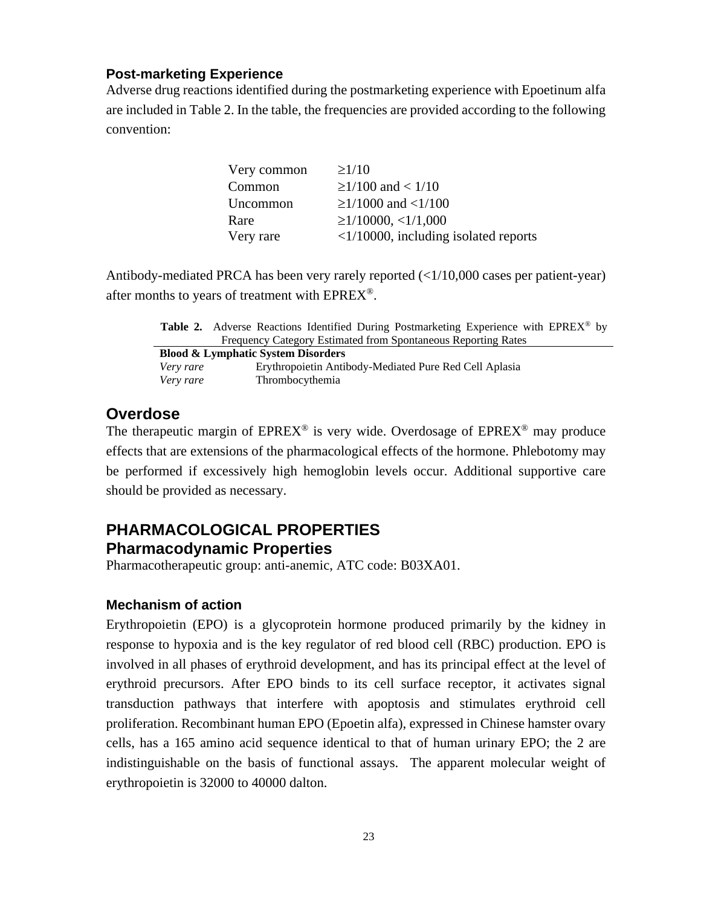### **Post-marketing Experience**

Adverse drug reactions identified during the postmarketing experience with Epoetinum alfa are included in Table 2. In the table, the frequencies are provided according to the following convention:

| Very common | $\geq$ 1/10                                    |
|-------------|------------------------------------------------|
| Common      | $\geq$ 1/100 and < 1/10                        |
| Uncommon    | $\geq$ 1/1000 and <1/100                       |
| Rare        | $\geq$ 1/10000, <1/1,000                       |
| Very rare   | $\langle 1/10000$ , including isolated reports |

Antibody-mediated PRCA has been very rarely reported (<1/10,000 cases per patient-year) after months to years of treatment with EPREX®.

Table 2. Adverse Reactions Identified During Postmarketing Experience with EPREX<sup>®</sup> by Frequency Category Estimated from Spontaneous Reporting Rates

| <b>Blood &amp; Lymphatic System Disorders</b> |                                                        |  |  |  |  |  |
|-----------------------------------------------|--------------------------------------------------------|--|--|--|--|--|
| Very rare                                     | Erythropoietin Antibody-Mediated Pure Red Cell Aplasia |  |  |  |  |  |
| Very rare                                     | Thrombocythemia                                        |  |  |  |  |  |

### **Overdose**

The therapeutic margin of  $EPREX^{\circledcirc}$  is very wide. Overdosage of  $EPREX^{\circledcirc}$  may produce effects that are extensions of the pharmacological effects of the hormone. Phlebotomy may be performed if excessively high hemoglobin levels occur. Additional supportive care should be provided as necessary.

### **PHARMACOLOGICAL PROPERTIES Pharmacodynamic Properties**

Pharmacotherapeutic group: anti-anemic, ATC code: B03XA01.

### **Mechanism of action**

Erythropoietin (EPO) is a glycoprotein hormone produced primarily by the kidney in response to hypoxia and is the key regulator of red blood cell (RBC) production. EPO is involved in all phases of erythroid development, and has its principal effect at the level of erythroid precursors. After EPO binds to its cell surface receptor, it activates signal transduction pathways that interfere with apoptosis and stimulates erythroid cell proliferation. Recombinant human EPO (Epoetin alfa), expressed in Chinese hamster ovary cells, has a 165 amino acid sequence identical to that of human urinary EPO; the 2 are indistinguishable on the basis of functional assays. The apparent molecular weight of erythropoietin is 32000 to 40000 dalton.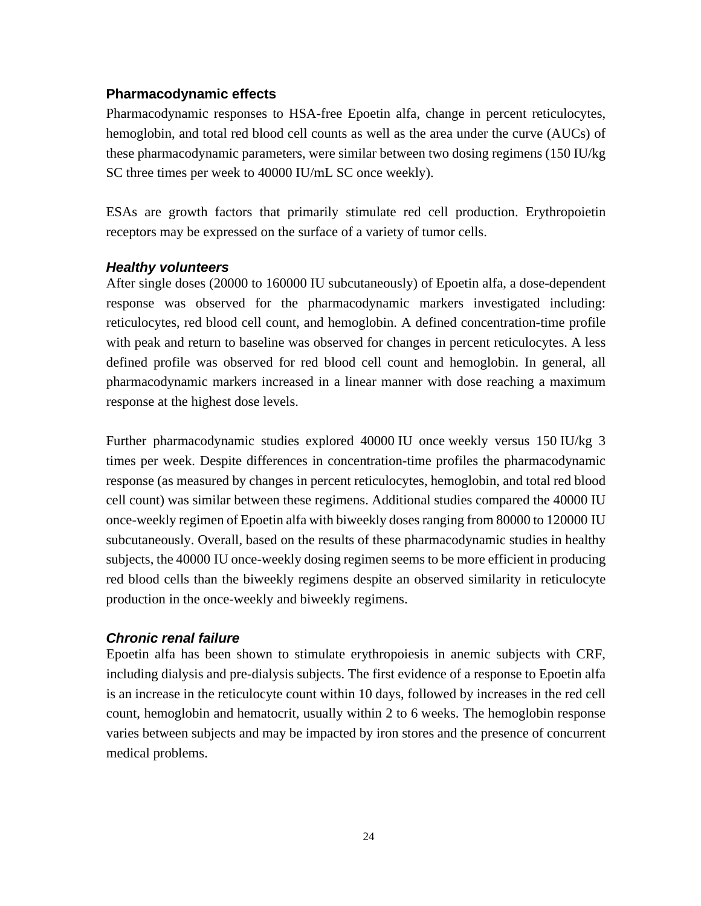#### **Pharmacodynamic effects**

Pharmacodynamic responses to HSA-free Epoetin alfa, change in percent reticulocytes, hemoglobin, and total red blood cell counts as well as the area under the curve (AUCs) of these pharmacodynamic parameters, were similar between two dosing regimens (150 IU/kg SC three times per week to 40000 IU/mL SC once weekly).

ESAs are growth factors that primarily stimulate red cell production. Erythropoietin receptors may be expressed on the surface of a variety of tumor cells.

### *Healthy volunteers*

After single doses (20000 to 160000 IU subcutaneously) of Epoetin alfa, a dose-dependent response was observed for the pharmacodynamic markers investigated including: reticulocytes, red blood cell count, and hemoglobin. A defined concentration-time profile with peak and return to baseline was observed for changes in percent reticulocytes. A less defined profile was observed for red blood cell count and hemoglobin. In general, all pharmacodynamic markers increased in a linear manner with dose reaching a maximum response at the highest dose levels.

Further pharmacodynamic studies explored 40000 IU once weekly versus 150 IU/kg 3 times per week. Despite differences in concentration-time profiles the pharmacodynamic response (as measured by changes in percent reticulocytes, hemoglobin, and total red blood cell count) was similar between these regimens. Additional studies compared the 40000 IU once-weekly regimen of Epoetin alfa with biweekly doses ranging from 80000 to 120000 IU subcutaneously. Overall, based on the results of these pharmacodynamic studies in healthy subjects, the 40000 IU once-weekly dosing regimen seems to be more efficient in producing red blood cells than the biweekly regimens despite an observed similarity in reticulocyte production in the once-weekly and biweekly regimens.

### *Chronic renal failure*

Epoetin alfa has been shown to stimulate erythropoiesis in anemic subjects with CRF, including dialysis and pre-dialysis subjects. The first evidence of a response to Epoetin alfa is an increase in the reticulocyte count within 10 days, followed by increases in the red cell count, hemoglobin and hematocrit, usually within 2 to 6 weeks. The hemoglobin response varies between subjects and may be impacted by iron stores and the presence of concurrent medical problems.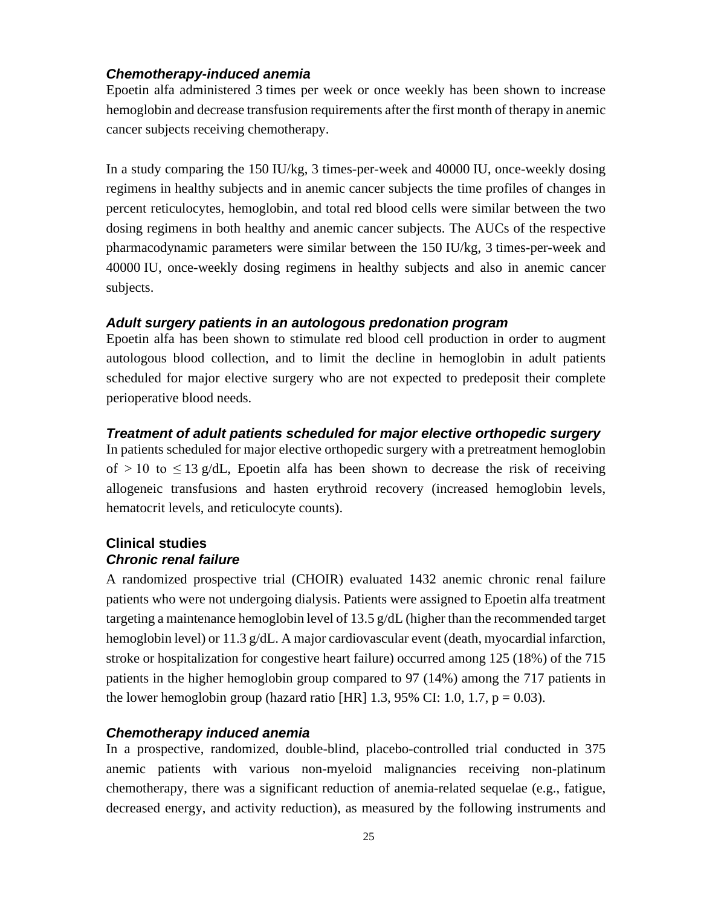### *Chemotherapy-induced anemia*

Epoetin alfa administered 3 times per week or once weekly has been shown to increase hemoglobin and decrease transfusion requirements after the first month of therapy in anemic cancer subjects receiving chemotherapy.

In a study comparing the 150 IU/kg, 3 times-per-week and 40000 IU, once-weekly dosing regimens in healthy subjects and in anemic cancer subjects the time profiles of changes in percent reticulocytes, hemoglobin, and total red blood cells were similar between the two dosing regimens in both healthy and anemic cancer subjects. The AUCs of the respective pharmacodynamic parameters were similar between the 150 IU/kg, 3 times-per-week and 40000 IU, once-weekly dosing regimens in healthy subjects and also in anemic cancer subjects.

### *Adult surgery patients in an autologous predonation program*

Epoetin alfa has been shown to stimulate red blood cell production in order to augment autologous blood collection, and to limit the decline in hemoglobin in adult patients scheduled for major elective surgery who are not expected to predeposit their complete perioperative blood needs.

#### *Treatment of adult patients scheduled for major elective orthopedic surgery*

In patients scheduled for major elective orthopedic surgery with a pretreatment hemoglobin of  $> 10$  to  $\leq 13$  g/dL, Epoetin alfa has been shown to decrease the risk of receiving allogeneic transfusions and hasten erythroid recovery (increased hemoglobin levels, hematocrit levels, and reticulocyte counts).

### **Clinical studies** *Chronic renal failure*

A randomized prospective trial (CHOIR) evaluated 1432 anemic chronic renal failure patients who were not undergoing dialysis. Patients were assigned to Epoetin alfa treatment targeting a maintenance hemoglobin level of 13.5  $g/dL$  (higher than the recommended target hemoglobin level) or 11.3 g/dL. A major cardiovascular event (death, myocardial infarction, stroke or hospitalization for congestive heart failure) occurred among 125 (18%) of the 715 patients in the higher hemoglobin group compared to 97 (14%) among the 717 patients in the lower hemoglobin group (hazard ratio [HR] 1.3, 95% CI: 1.0, 1.7,  $p = 0.03$ ).

### *Chemotherapy induced anemia*

In a prospective, randomized, double-blind, placebo-controlled trial conducted in 375 anemic patients with various non-myeloid malignancies receiving non-platinum chemotherapy, there was a significant reduction of anemia-related sequelae (e.g., fatigue, decreased energy, and activity reduction), as measured by the following instruments and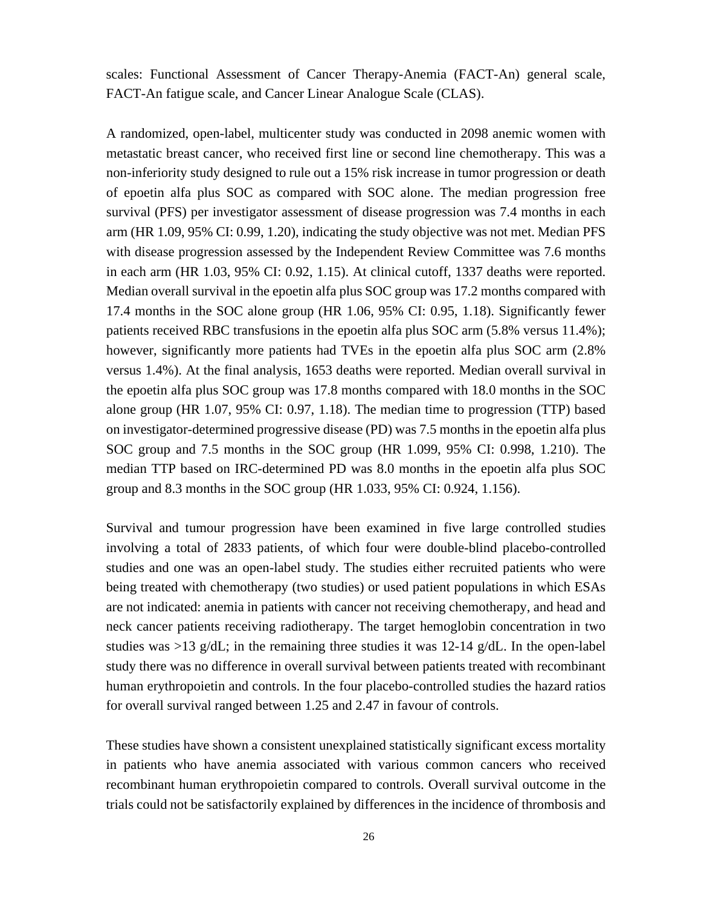scales: Functional Assessment of Cancer Therapy-Anemia (FACT-An) general scale, FACT-An fatigue scale, and Cancer Linear Analogue Scale (CLAS).

A randomized, open-label, multicenter study was conducted in 2098 anemic women with metastatic breast cancer, who received first line or second line chemotherapy. This was a non-inferiority study designed to rule out a 15% risk increase in tumor progression or death of epoetin alfa plus SOC as compared with SOC alone. The median progression free survival (PFS) per investigator assessment of disease progression was 7.4 months in each arm (HR 1.09, 95% CI: 0.99, 1.20), indicating the study objective was not met. Median PFS with disease progression assessed by the Independent Review Committee was 7.6 months in each arm (HR 1.03, 95% CI: 0.92, 1.15). At clinical cutoff, 1337 deaths were reported. Median overall survival in the epoetin alfa plus SOC group was 17.2 months compared with 17.4 months in the SOC alone group (HR 1.06, 95% CI: 0.95, 1.18). Significantly fewer patients received RBC transfusions in the epoetin alfa plus SOC arm (5.8% versus 11.4%); however, significantly more patients had TVEs in the epoetin alfa plus SOC arm (2.8% versus 1.4%). At the final analysis, 1653 deaths were reported. Median overall survival in the epoetin alfa plus SOC group was 17.8 months compared with 18.0 months in the SOC alone group (HR 1.07, 95% CI: 0.97, 1.18). The median time to progression (TTP) based on investigator-determined progressive disease (PD) was 7.5 months in the epoetin alfa plus SOC group and 7.5 months in the SOC group (HR 1.099, 95% CI: 0.998, 1.210). The median TTP based on IRC-determined PD was 8.0 months in the epoetin alfa plus SOC group and 8.3 months in the SOC group (HR 1.033, 95% CI: 0.924, 1.156).

Survival and tumour progression have been examined in five large controlled studies involving a total of 2833 patients, of which four were double-blind placebo-controlled studies and one was an open-label study. The studies either recruited patients who were being treated with chemotherapy (two studies) or used patient populations in which ESAs are not indicated: anemia in patients with cancer not receiving chemotherapy, and head and neck cancer patients receiving radiotherapy. The target hemoglobin concentration in two studies was  $>13$  g/dL; in the remaining three studies it was 12-14 g/dL. In the open-label study there was no difference in overall survival between patients treated with recombinant human erythropoietin and controls. In the four placebo-controlled studies the hazard ratios for overall survival ranged between 1.25 and 2.47 in favour of controls.

These studies have shown a consistent unexplained statistically significant excess mortality in patients who have anemia associated with various common cancers who received recombinant human erythropoietin compared to controls. Overall survival outcome in the trials could not be satisfactorily explained by differences in the incidence of thrombosis and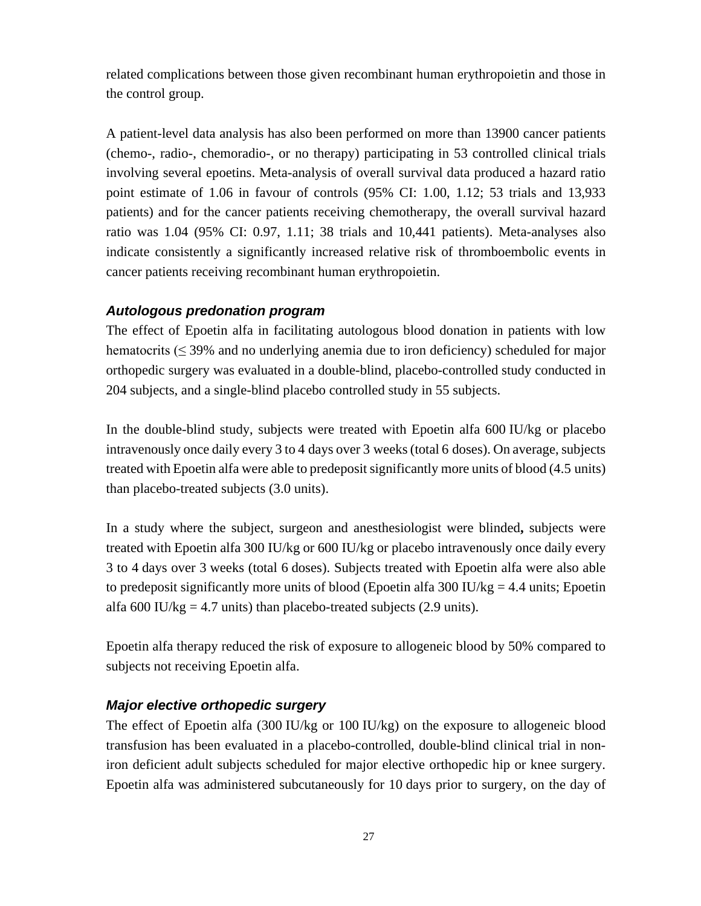related complications between those given recombinant human erythropoietin and those in the control group.

A patient-level data analysis has also been performed on more than 13900 cancer patients (chemo-, radio-, chemoradio-, or no therapy) participating in 53 controlled clinical trials involving several epoetins. Meta-analysis of overall survival data produced a hazard ratio point estimate of 1.06 in favour of controls (95% CI: 1.00, 1.12; 53 trials and 13,933 patients) and for the cancer patients receiving chemotherapy, the overall survival hazard ratio was 1.04 (95% CI: 0.97, 1.11; 38 trials and 10,441 patients). Meta-analyses also indicate consistently a significantly increased relative risk of thromboembolic events in cancer patients receiving recombinant human erythropoietin.

### *Autologous predonation program*

The effect of Epoetin alfa in facilitating autologous blood donation in patients with low hematocrits ( $\leq$  39% and no underlying anemia due to iron deficiency) scheduled for major orthopedic surgery was evaluated in a double-blind, placebo-controlled study conducted in 204 subjects, and a single-blind placebo controlled study in 55 subjects.

In the double-blind study, subjects were treated with Epoetin alfa 600 IU/kg or placebo intravenously once daily every 3 to 4 days over 3 weeks (total 6 doses). On average, subjects treated with Epoetin alfa were able to predeposit significantly more units of blood (4.5 units) than placebo-treated subjects (3.0 units).

In a study where the subject, surgeon and anesthesiologist were blinded**,** subjects were treated with Epoetin alfa 300 IU/kg or 600 IU/kg or placebo intravenously once daily every 3 to 4 days over 3 weeks (total 6 doses). Subjects treated with Epoetin alfa were also able to predeposit significantly more units of blood (Epoetin alfa 300 IU/kg = 4.4 units; Epoetin alfa 600 IU/kg = 4.7 units) than placebo-treated subjects  $(2.9 \text{ units})$ .

Epoetin alfa therapy reduced the risk of exposure to allogeneic blood by 50% compared to subjects not receiving Epoetin alfa.

### *Major elective orthopedic surgery*

The effect of Epoetin alfa (300 IU/kg or 100 IU/kg) on the exposure to allogeneic blood transfusion has been evaluated in a placebo-controlled, double-blind clinical trial in noniron deficient adult subjects scheduled for major elective orthopedic hip or knee surgery. Epoetin alfa was administered subcutaneously for 10 days prior to surgery, on the day of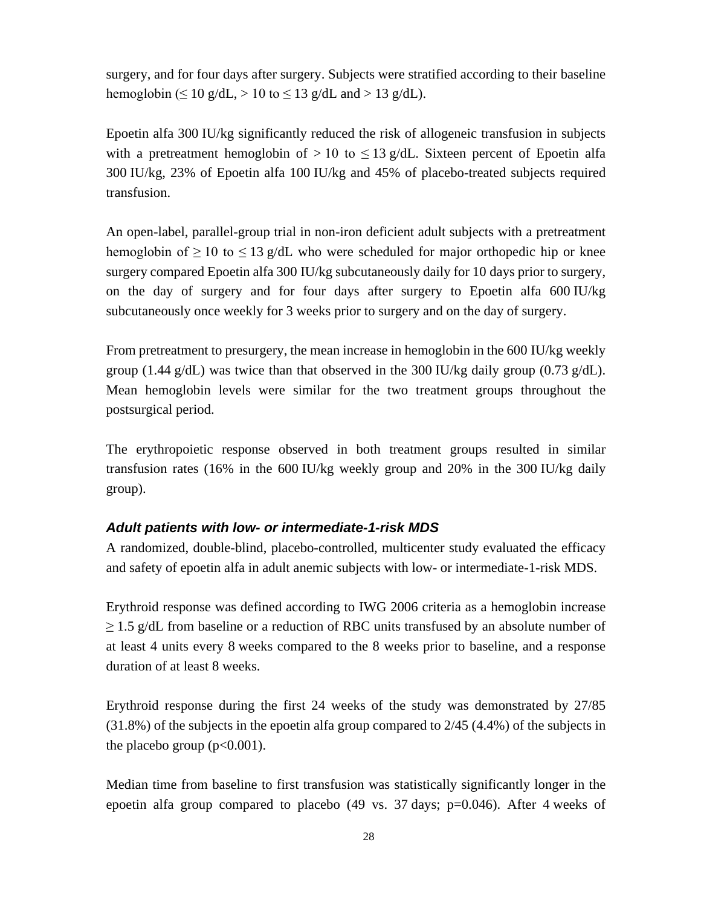surgery, and for four days after surgery. Subjects were stratified according to their baseline hemoglobin ( $\leq 10$  g/dL,  $> 10$  to  $\leq 13$  g/dL and  $> 13$  g/dL).

Epoetin alfa 300 IU/kg significantly reduced the risk of allogeneic transfusion in subjects with a pretreatment hemoglobin of  $> 10$  to  $\leq 13$  g/dL. Sixteen percent of Epoetin alfa 300 IU/kg, 23% of Epoetin alfa 100 IU/kg and 45% of placebo-treated subjects required transfusion.

An open-label, parallel-group trial in non-iron deficient adult subjects with a pretreatment hemoglobin of  $\geq 10$  to  $\leq 13$  g/dL who were scheduled for major orthopedic hip or knee surgery compared Epoetin alfa 300 IU/kg subcutaneously daily for 10 days prior to surgery, on the day of surgery and for four days after surgery to Epoetin alfa 600 IU/kg subcutaneously once weekly for 3 weeks prior to surgery and on the day of surgery.

From pretreatment to presurgery, the mean increase in hemoglobin in the 600 IU/kg weekly group (1.44 g/dL) was twice than that observed in the 300 IU/kg daily group (0.73 g/dL). Mean hemoglobin levels were similar for the two treatment groups throughout the postsurgical period.

The erythropoietic response observed in both treatment groups resulted in similar transfusion rates (16% in the 600 IU/kg weekly group and 20% in the 300 IU/kg daily group).

### *Adult patients with low- or intermediate-1-risk MDS*

A randomized, double-blind, placebo-controlled, multicenter study evaluated the efficacy and safety of epoetin alfa in adult anemic subjects with low- or intermediate-1-risk MDS.

Erythroid response was defined according to IWG 2006 criteria as a hemoglobin increase  $\geq$  1.5 g/dL from baseline or a reduction of RBC units transfused by an absolute number of at least 4 units every 8 weeks compared to the 8 weeks prior to baseline, and a response duration of at least 8 weeks.

Erythroid response during the first 24 weeks of the study was demonstrated by 27/85 (31.8%) of the subjects in the epoetin alfa group compared to 2/45 (4.4%) of the subjects in the placebo group  $(p<0.001)$ .

Median time from baseline to first transfusion was statistically significantly longer in the epoetin alfa group compared to placebo (49 vs. 37 days; p=0.046). After 4 weeks of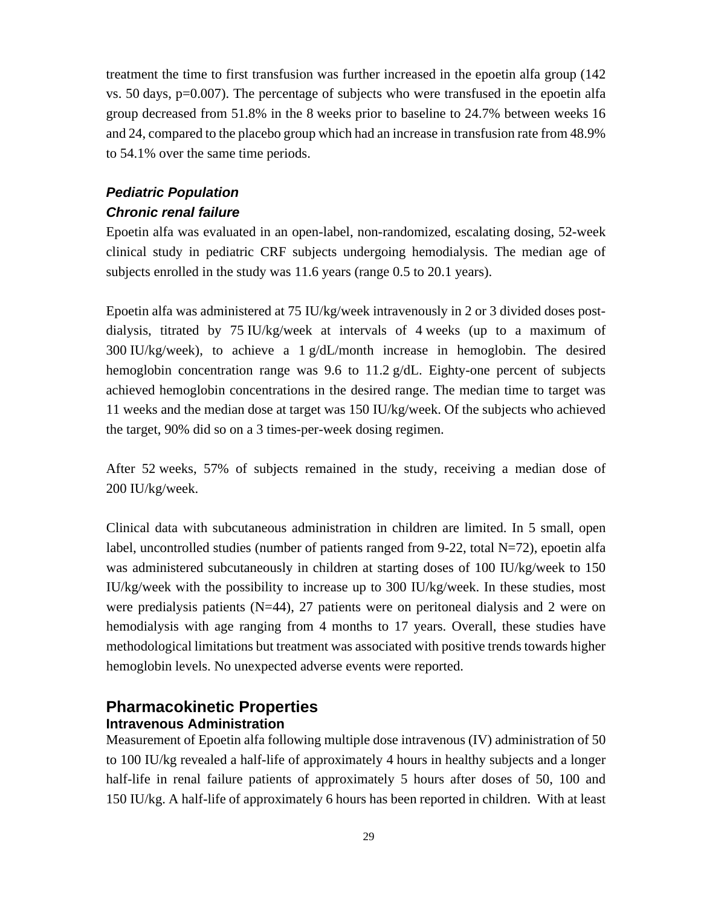treatment the time to first transfusion was further increased in the epoetin alfa group (142 vs. 50 days, p=0.007). The percentage of subjects who were transfused in the epoetin alfa group decreased from 51.8% in the 8 weeks prior to baseline to 24.7% between weeks 16 and 24, compared to the placebo group which had an increase in transfusion rate from 48.9% to 54.1% over the same time periods.

### *Pediatric Population Chronic renal failure*

Epoetin alfa was evaluated in an open-label, non-randomized, escalating dosing, 52-week clinical study in pediatric CRF subjects undergoing hemodialysis. The median age of subjects enrolled in the study was 11.6 years (range 0.5 to 20.1 years).

Epoetin alfa was administered at 75 IU/kg/week intravenously in 2 or 3 divided doses postdialysis, titrated by 75 IU/kg/week at intervals of 4 weeks (up to a maximum of 300 IU/kg/week), to achieve a 1 g/dL/month increase in hemoglobin. The desired hemoglobin concentration range was 9.6 to 11.2 g/dL. Eighty-one percent of subjects achieved hemoglobin concentrations in the desired range. The median time to target was 11 weeks and the median dose at target was 150 IU/kg/week. Of the subjects who achieved the target, 90% did so on a 3 times-per-week dosing regimen.

After 52 weeks, 57% of subjects remained in the study, receiving a median dose of 200 IU/kg/week.

Clinical data with subcutaneous administration in children are limited. In 5 small, open label, uncontrolled studies (number of patients ranged from 9-22, total  $N=72$ ), epoetin alfa was administered subcutaneously in children at starting doses of 100 IU/kg/week to 150 IU/kg/week with the possibility to increase up to 300 IU/kg/week. In these studies, most were predialysis patients (N=44), 27 patients were on peritoneal dialysis and 2 were on hemodialysis with age ranging from 4 months to 17 years. Overall, these studies have methodological limitations but treatment was associated with positive trends towards higher hemoglobin levels. No unexpected adverse events were reported.

### **Pharmacokinetic Properties Intravenous Administration**

Measurement of Epoetin alfa following multiple dose intravenous (IV) administration of 50 to 100 IU/kg revealed a half-life of approximately 4 hours in healthy subjects and a longer half-life in renal failure patients of approximately 5 hours after doses of 50, 100 and 150 IU/kg. A half-life of approximately 6 hours has been reported in children. With at least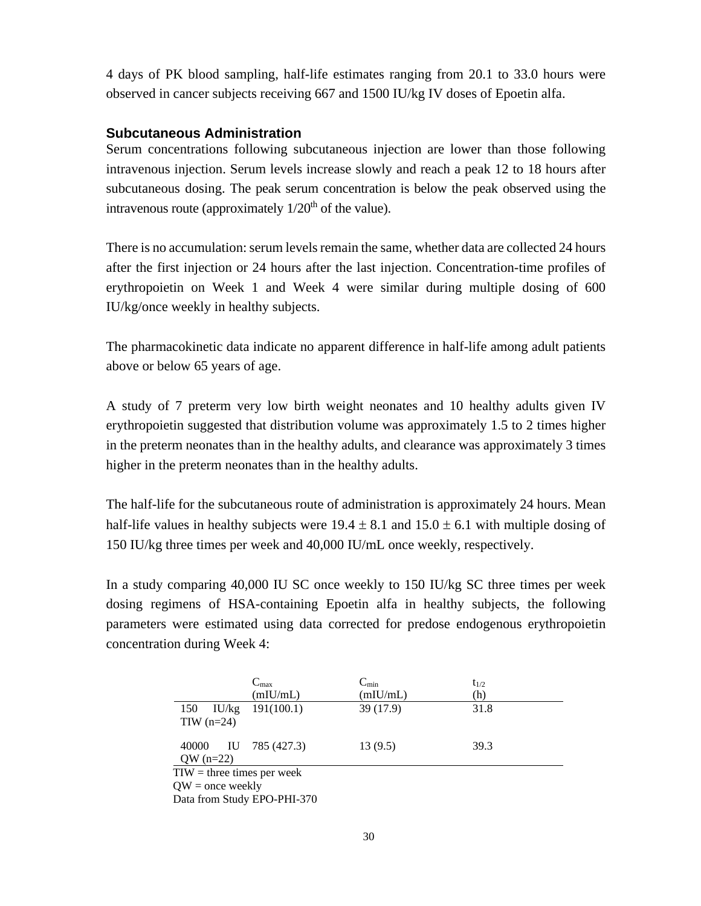4 days of PK blood sampling, half-life estimates ranging from 20.1 to 33.0 hours were observed in cancer subjects receiving 667 and 1500 IU/kg IV doses of Epoetin alfa.

#### **Subcutaneous Administration**

Serum concentrations following subcutaneous injection are lower than those following intravenous injection. Serum levels increase slowly and reach a peak 12 to 18 hours after subcutaneous dosing. The peak serum concentration is below the peak observed using the intravenous route (approximately  $1/20<sup>th</sup>$  of the value).

There is no accumulation: serum levels remain the same, whether data are collected 24 hours after the first injection or 24 hours after the last injection. Concentration-time profiles of erythropoietin on Week 1 and Week 4 were similar during multiple dosing of 600 IU/kg/once weekly in healthy subjects.

The pharmacokinetic data indicate no apparent difference in half-life among adult patients above or below 65 years of age.

A study of 7 preterm very low birth weight neonates and 10 healthy adults given IV erythropoietin suggested that distribution volume was approximately 1.5 to 2 times higher in the preterm neonates than in the healthy adults, and clearance was approximately 3 times higher in the preterm neonates than in the healthy adults.

The half-life for the subcutaneous route of administration is approximately 24 hours. Mean half-life values in healthy subjects were  $19.4 \pm 8.1$  and  $15.0 \pm 6.1$  with multiple dosing of 150 IU/kg three times per week and 40,000 IU/mL once weekly, respectively.

In a study comparing 40,000 IU SC once weekly to 150 IU/kg SC three times per week dosing regimens of HSA-containing Epoetin alfa in healthy subjects, the following parameters were estimated using data corrected for predose endogenous erythropoietin concentration during Week 4:

|                              | $C_{\text{max}}$<br>(mIU/mL) | $C_{\min}$<br>(mIU/mL) | $t_{1/2}$<br>(h) |  |  |  |
|------------------------------|------------------------------|------------------------|------------------|--|--|--|
| 150                          | $IU/kg$ 191(100.1)           | 39 (17.9)              | 31.8             |  |  |  |
| $TIW$ (n=24)                 |                              |                        |                  |  |  |  |
| 40000<br>$QW (n=22)$         | IU 785 (427.3)               | 13(9.5)                | 39.3             |  |  |  |
| $TIW =$ three times per week |                              |                        |                  |  |  |  |
| $QW =$ once weekly           |                              |                        |                  |  |  |  |
| Data from Study EPO-PHI-370  |                              |                        |                  |  |  |  |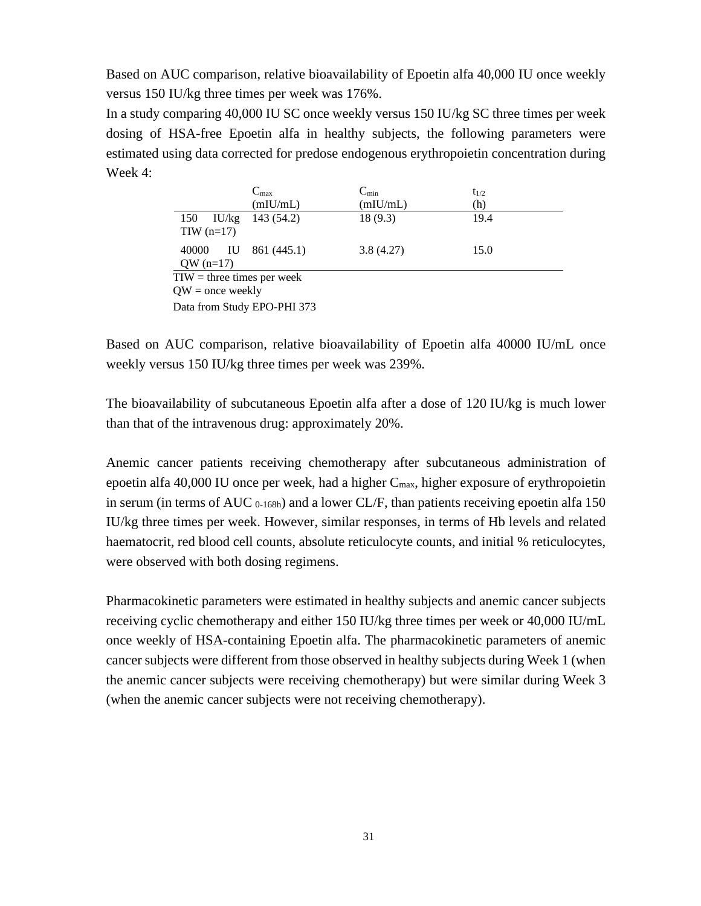Based on AUC comparison, relative bioavailability of Epoetin alfa 40,000 IU once weekly versus 150 IU/kg three times per week was 176%.

In a study comparing 40,000 IU SC once weekly versus 150 IU/kg SC three times per week dosing of HSA-free Epoetin alfa in healthy subjects, the following parameters were estimated using data corrected for predose endogenous erythropoietin concentration during Week 4:

|                             | $C_{\text{max}}$             | $C_{\min}$ | $t_{1/2}$ |  |  |  |
|-----------------------------|------------------------------|------------|-----------|--|--|--|
|                             | (mIU/mL)                     | (mIU/mL)   | (h)       |  |  |  |
| 150                         | IU/kg $143(54.2)$            | 18(9.3)    | 19.4      |  |  |  |
| $TIW$ (n=17)                |                              |            |           |  |  |  |
| 40000                       | IU 861 (445.1)               | 3.8(4.27)  | 15.0      |  |  |  |
| $QW (n=17)$                 |                              |            |           |  |  |  |
|                             | $TIW =$ three times per week |            |           |  |  |  |
| $QW =$ once weekly          |                              |            |           |  |  |  |
| Data from Study EPO-PHI 373 |                              |            |           |  |  |  |

Based on AUC comparison, relative bioavailability of Epoetin alfa 40000 IU/mL once weekly versus 150 IU/kg three times per week was 239%.

The bioavailability of subcutaneous Epoetin alfa after a dose of 120 IU/kg is much lower than that of the intravenous drug: approximately 20%.

Anemic cancer patients receiving chemotherapy after subcutaneous administration of epoetin alfa 40,000 IU once per week, had a higher Cmax, higher exposure of erythropoietin in serum (in terms of AUC 0-168h) and a lower CL/F, than patients receiving epoetin alfa 150 IU/kg three times per week. However, similar responses, in terms of Hb levels and related haematocrit, red blood cell counts, absolute reticulocyte counts, and initial % reticulocytes, were observed with both dosing regimens.

Pharmacokinetic parameters were estimated in healthy subjects and anemic cancer subjects receiving cyclic chemotherapy and either 150 IU/kg three times per week or 40,000 IU/mL once weekly of HSA-containing Epoetin alfa. The pharmacokinetic parameters of anemic cancer subjects were different from those observed in healthy subjects during Week 1 (when the anemic cancer subjects were receiving chemotherapy) but were similar during Week 3 (when the anemic cancer subjects were not receiving chemotherapy).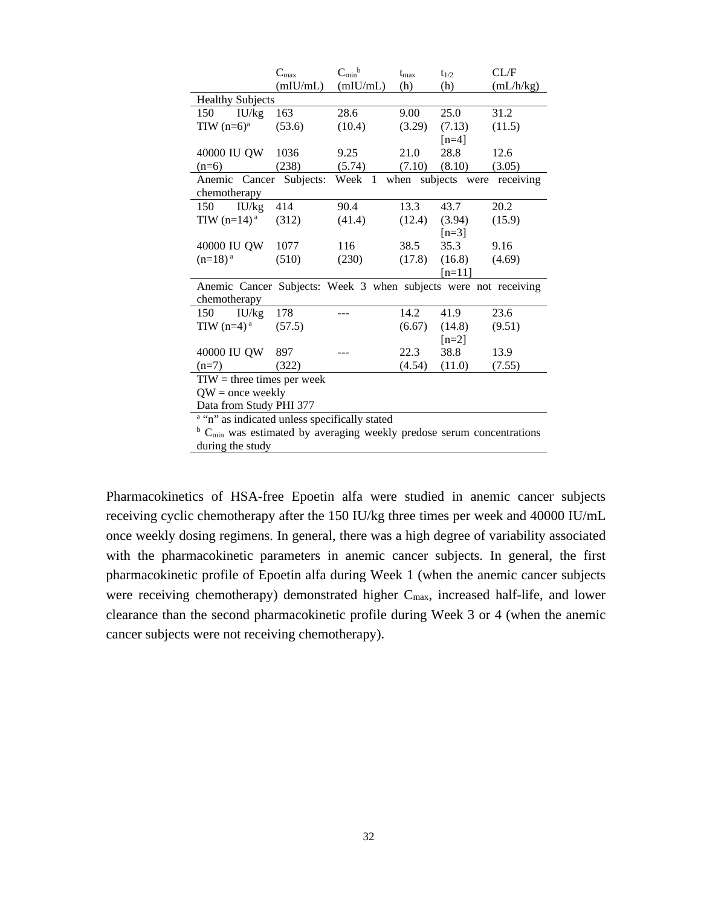|                                                                                     | $C_{\text{max}}$ | $C_{\min}$ <sup>b</sup> | $t_{\rm max}$ | $t_{1/2}$     | CL/F      |  |  |  |
|-------------------------------------------------------------------------------------|------------------|-------------------------|---------------|---------------|-----------|--|--|--|
|                                                                                     | (mIU/mL)         | (mIU/mL)                | (h)           | (h)           | (mL/h/kg) |  |  |  |
| <b>Healthy Subjects</b>                                                             |                  |                         |               |               |           |  |  |  |
| 150<br>IU/kg                                                                        | 163              | 28.6                    | 9.00          | 25.0          | 31.2      |  |  |  |
| TIW $(n=6)^a$                                                                       | (53.6)           | (10.4)                  | (3.29)        | (7.13)        | (11.5)    |  |  |  |
|                                                                                     |                  |                         |               | $[n=4]$       |           |  |  |  |
| 40000 IU QW                                                                         | 1036             | 9.25                    | 21.0          | 28.8          | 12.6      |  |  |  |
| $(n=6)$                                                                             | (238)            | (5.74)                  | (7.10)        | (8.10)        | (3.05)    |  |  |  |
| Anemic Cancer                                                                       | Subjects:        | Week 1                  | when          | subjects were | receiving |  |  |  |
| chemotherapy                                                                        |                  |                         |               |               |           |  |  |  |
| IU/kg<br>150                                                                        | 414              | 90.4                    | 13.3          | 43.7          | 20.2      |  |  |  |
| TIW $(n=14)^a$                                                                      | (312)            | (41.4)                  | (12.4)        | (3.94)        | (15.9)    |  |  |  |
|                                                                                     |                  |                         |               | $[n=3]$       |           |  |  |  |
| 40000 IU QW                                                                         | 1077             | 116                     | 38.5          | 35.3          | 9.16      |  |  |  |
| $(n=18)^{a}$                                                                        | (510)            | (230)                   | (17.8)        | (16.8)        | (4.69)    |  |  |  |
|                                                                                     |                  |                         |               | $[n=11]$      |           |  |  |  |
| Anemic Cancer Subjects: Week 3 when subjects were not receiving                     |                  |                         |               |               |           |  |  |  |
| chemotherapy                                                                        |                  |                         |               |               |           |  |  |  |
| $150$ IU/kg                                                                         | 178              |                         | 14.2          | 41.9          | 23.6      |  |  |  |
| TIW $(n=4)^a$                                                                       | (57.5)           |                         | (6.67)        | (14.8)        | (9.51)    |  |  |  |
|                                                                                     |                  |                         |               | $[n=2]$       |           |  |  |  |
| 40000 IU QW                                                                         | 897              |                         | 22.3          | 38.8          | 13.9      |  |  |  |
| $(n=7)$                                                                             | (322)            |                         | (4.54)        | (11.0)        | (7.55)    |  |  |  |
| $TIW =$ three times per week                                                        |                  |                         |               |               |           |  |  |  |
| $QW =$ once weekly                                                                  |                  |                         |               |               |           |  |  |  |
| Data from Study PHI 377                                                             |                  |                         |               |               |           |  |  |  |
| a "n" as indicated unless specifically stated                                       |                  |                         |               |               |           |  |  |  |
| $b$ C <sub>min</sub> was estimated by averaging weekly predose serum concentrations |                  |                         |               |               |           |  |  |  |
| during the study                                                                    |                  |                         |               |               |           |  |  |  |

Pharmacokinetics of HSA-free Epoetin alfa were studied in anemic cancer subjects receiving cyclic chemotherapy after the 150 IU/kg three times per week and 40000 IU/mL once weekly dosing regimens. In general, there was a high degree of variability associated with the pharmacokinetic parameters in anemic cancer subjects. In general, the first pharmacokinetic profile of Epoetin alfa during Week 1 (when the anemic cancer subjects were receiving chemotherapy) demonstrated higher C<sub>max</sub>, increased half-life, and lower clearance than the second pharmacokinetic profile during Week 3 or 4 (when the anemic cancer subjects were not receiving chemotherapy).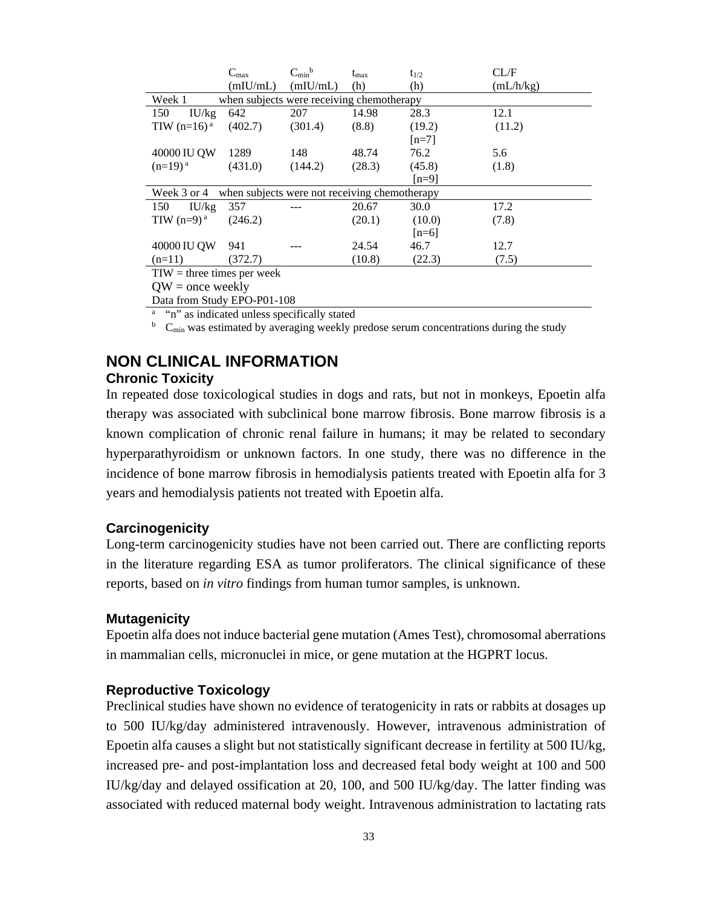|                              | $C_{\text{max}}$                              | $C_{\min}$ <sup>b</sup> | $t_{\rm max}$ | $t_{1/2}$ | CL/F      |
|------------------------------|-----------------------------------------------|-------------------------|---------------|-----------|-----------|
|                              | (mIU/mL)                                      | (mIU/mL)                | (h)           | (h)       | (mL/h/kg) |
| Week 1                       | when subjects were receiving chemotherapy     |                         |               |           |           |
| 150<br>IU/kg                 | 642                                           | 207                     | 14.98         | 28.3      | 12.1      |
| TIW $(n=16)^{a}$             | (402.7)                                       | (301.4)                 | (8.8)         | (19.2)    | (11.2)    |
|                              |                                               |                         |               | $[n=7]$   |           |
| 40000 IU QW                  | 1289                                          | 148                     | 48.74         | 76.2      | 5.6       |
| $(n=19)^{a}$                 | (431.0)                                       | (144.2)                 | (28.3)        | (45.8)    | (1.8)     |
|                              |                                               |                         |               | $[n=9]$   |           |
| Week 3 or 4                  | when subjects were not receiving chemotherapy |                         |               |           |           |
| 150<br>IU/kg                 | 357                                           |                         | 20.67         | 30.0      | 17.2      |
| TIW $(n=9)^{a}$              | (246.2)                                       |                         | (20.1)        | (10.0)    | (7.8)     |
|                              |                                               |                         |               | $[n=6]$   |           |
| 40000 IU QW                  | 941                                           |                         | 24.54         | 46.7      | 12.7      |
| $(n=11)$                     | (372.7)                                       |                         | (10.8)        | (22.3)    | (7.5)     |
| $TIW =$ three times per week |                                               |                         |               |           |           |
| $QW =$ once weekly           |                                               |                         |               |           |           |

Data from Study EPO-P01-108

<sup>a</sup> "n" as indicated unless specifically stated

 $b$  C<sub>min</sub> was estimated by averaging weekly predose serum concentrations during the study

# **NON CLINICAL INFORMATION**

### **Chronic Toxicity**

In repeated dose toxicological studies in dogs and rats, but not in monkeys, Epoetin alfa therapy was associated with subclinical bone marrow fibrosis. Bone marrow fibrosis is a known complication of chronic renal failure in humans; it may be related to secondary hyperparathyroidism or unknown factors. In one study, there was no difference in the incidence of bone marrow fibrosis in hemodialysis patients treated with Epoetin alfa for 3 years and hemodialysis patients not treated with Epoetin alfa.

#### **Carcinogenicity**

Long-term carcinogenicity studies have not been carried out. There are conflicting reports in the literature regarding ESA as tumor proliferators. The clinical significance of these reports, based on *in vitro* findings from human tumor samples, is unknown.

#### **Mutagenicity**

Epoetin alfa does not induce bacterial gene mutation (Ames Test), chromosomal aberrations in mammalian cells, micronuclei in mice, or gene mutation at the HGPRT locus.

#### **Reproductive Toxicology**

Preclinical studies have shown no evidence of teratogenicity in rats or rabbits at dosages up to 500 IU/kg/day administered intravenously. However, intravenous administration of Epoetin alfa causes a slight but not statistically significant decrease in fertility at 500 IU/kg, increased pre- and post-implantation loss and decreased fetal body weight at 100 and 500 IU/kg/day and delayed ossification at 20, 100, and 500 IU/kg/day. The latter finding was associated with reduced maternal body weight. Intravenous administration to lactating rats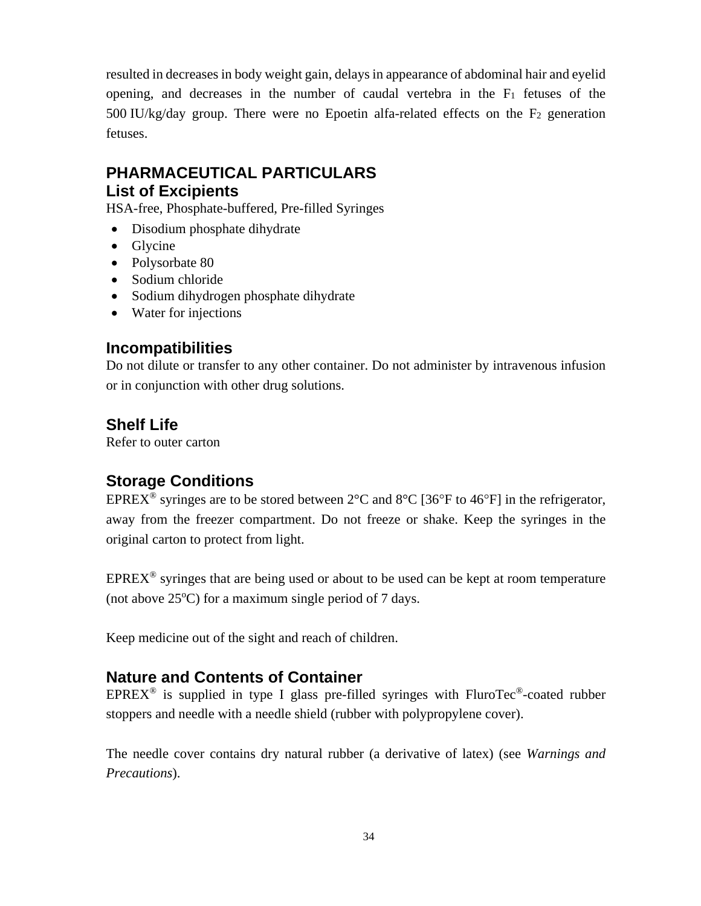resulted in decreases in body weight gain, delays in appearance of abdominal hair and eyelid opening, and decreases in the number of caudal vertebra in the  $F_1$  fetuses of the 500 IU/kg/day group. There were no Epoetin alfa-related effects on the F2 generation fetuses.

### **PHARMACEUTICAL PARTICULARS List of Excipients**

HSA-free, Phosphate-buffered, Pre-filled Syringes

- Disodium phosphate dihydrate
- Glycine
- Polysorbate 80
- Sodium chloride
- Sodium dihydrogen phosphate dihydrate
- Water for injections

### **Incompatibilities**

Do not dilute or transfer to any other container. Do not administer by intravenous infusion or in conjunction with other drug solutions.

### **Shelf Life**

Refer to outer carton

# **Storage Conditions**

EPREX<sup>®</sup> syringes are to be stored between  $2^{\circ}$ C and  $8^{\circ}$ C [36<sup>o</sup>F to 46<sup>o</sup>F] in the refrigerator, away from the freezer compartment. Do not freeze or shake. Keep the syringes in the original carton to protect from light.

 $EPREX<sup>®</sup>$  syringes that are being used or about to be used can be kept at room temperature (not above  $25^{\circ}$ C) for a maximum single period of 7 days.

Keep medicine out of the sight and reach of children.

### **Nature and Contents of Container**

 $EPREX^@$  is supplied in type I glass pre-filled syringes with FluroTec<sup>®</sup>-coated rubber stoppers and needle with a needle shield (rubber with polypropylene cover).

The needle cover contains dry natural rubber (a derivative of latex) (see *Warnings and Precautions*).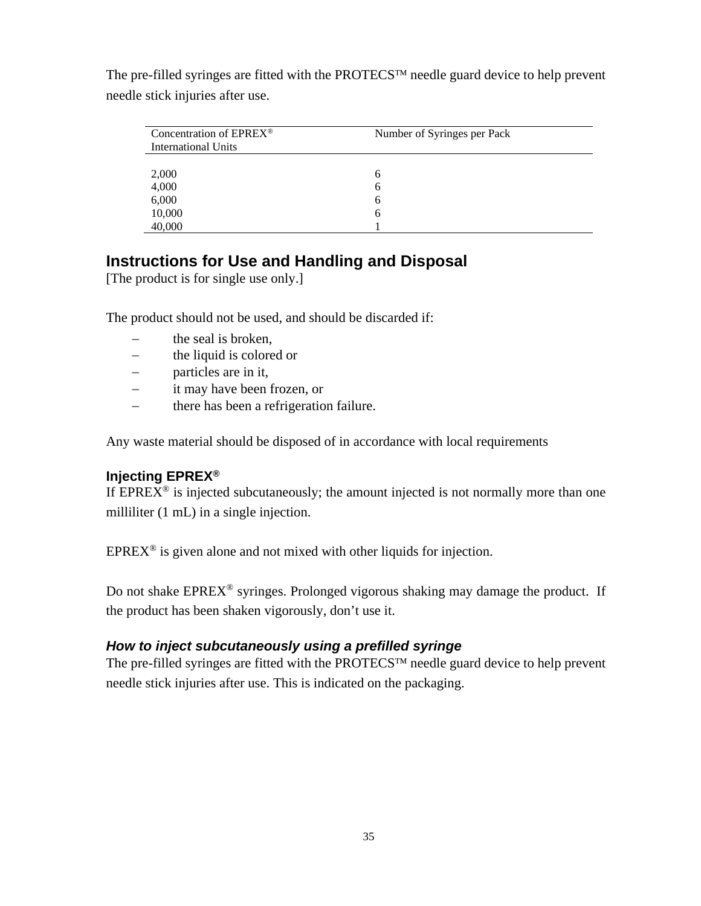| Concentration of EPREX <sup>®</sup><br><b>International Units</b> | Number of Syringes per Pack |  |
|-------------------------------------------------------------------|-----------------------------|--|
| 2,000                                                             | h                           |  |
| 4,000                                                             | h                           |  |
| 6,000                                                             | h                           |  |
| 10,000                                                            | h                           |  |
| 40,000                                                            |                             |  |

The pre-filled syringes are fitted with the PROTECS<sup>TM</sup> needle guard device to help prevent needle stick injuries after use.

### **Instructions for Use and Handling and Disposal**

[The product is for single use only.]

The product should not be used, and should be discarded if:

- − the seal is broken,
- − the liquid is colored or
- − particles are in it,
- − it may have been frozen, or
- − there has been a refrigeration failure.

Any waste material should be disposed of in accordance with local requirements

### **Injecting EPREX®**

If  $EPREX^{\circledast}$  is injected subcutaneously; the amount injected is not normally more than one milliliter (1 mL) in a single injection.

 $EPREX^{\circledcirc}$  is given alone and not mixed with other liquids for injection.

Do not shake EPREX® syringes. Prolonged vigorous shaking may damage the product. If the product has been shaken vigorously, don't use it.

### *How to inject subcutaneously using a prefilled syringe*

The pre-filled syringes are fitted with the PROTECS<sup>TM</sup> needle guard device to help prevent needle stick injuries after use. This is indicated on the packaging.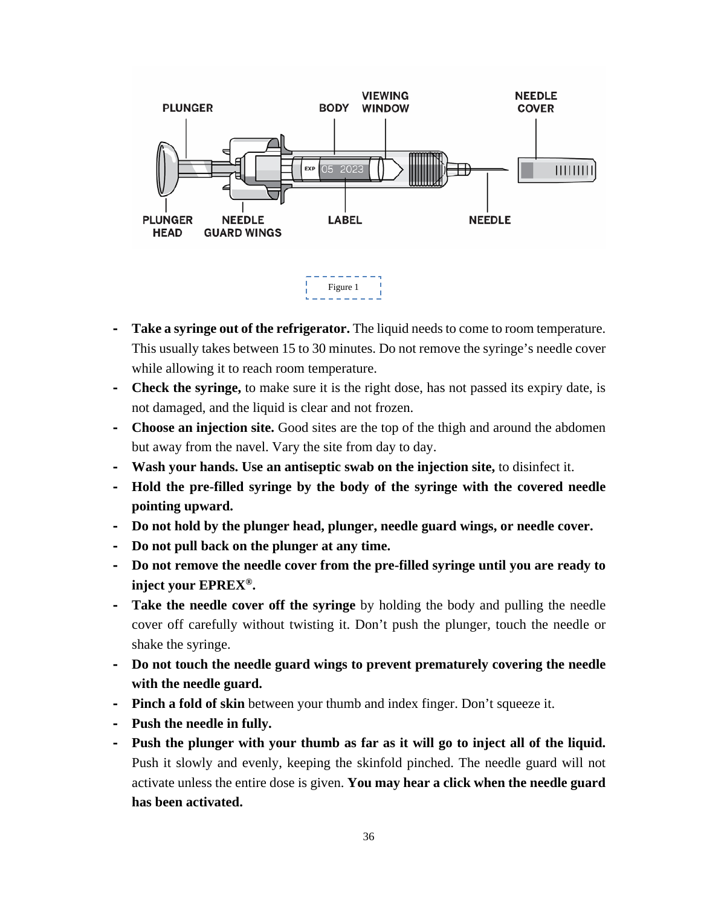

- **- Take a syringe out of the refrigerator.** The liquid needs to come to room temperature. This usually takes between 15 to 30 minutes. Do not remove the syringe's needle cover while allowing it to reach room temperature.
- **- Check the syringe,** to make sure it is the right dose, has not passed its expiry date, is not damaged, and the liquid is clear and not frozen.
- **- Choose an injection site.** Good sites are the top of the thigh and around the abdomen but away from the navel. Vary the site from day to day.
- **- Wash your hands. Use an antiseptic swab on the injection site,** to disinfect it.
- **- Hold the pre-filled syringe by the body of the syringe with the covered needle pointing upward.**
- **- Do not hold by the plunger head, plunger, needle guard wings, or needle cover.**
- **- Do not pull back on the plunger at any time.**
- **- Do not remove the needle cover from the pre-filled syringe until you are ready to inject your EPREX®.**
- **- Take the needle cover off the syringe** by holding the body and pulling the needle cover off carefully without twisting it. Don't push the plunger, touch the needle or shake the syringe.
- **- Do not touch the needle guard wings to prevent prematurely covering the needle with the needle guard.**
- **- Pinch a fold of skin** between your thumb and index finger. Don't squeeze it.
- **- Push the needle in fully.**
- **- Push the plunger with your thumb as far as it will go to inject all of the liquid.**  Push it slowly and evenly, keeping the skinfold pinched. The needle guard will not activate unless the entire dose is given. **You may hear a click when the needle guard has been activated.**